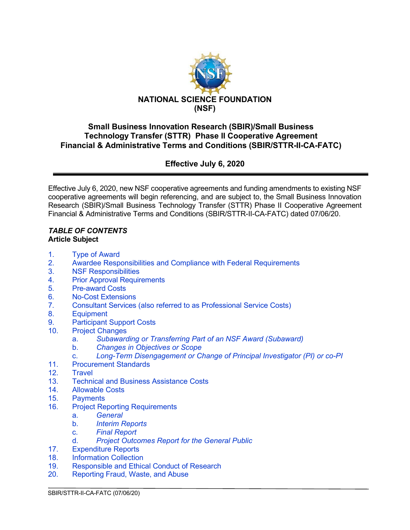

## **Small Business Innovation Research (SBIR)/Small Business Technology Transfer (STTR) Phase II Cooperative Agreement Financial & Administrative Terms and Conditions (SBIR/STTR-II-CA-FATC)**

**Effective July 6, 2020**

Effective July 6, 2020, new NSF cooperative agreements and funding amendments to existing NSF cooperative agreements will begin referencing, and are subject to, the Small Business Innovation Research (SBIR)/Small Business Technology Transfer (STTR) Phase II Cooperative Agreement Financial & Administrative Terms and Conditions (SBIR/STTR-II-CA-FATC) dated 07/06/20.

#### *TABLE OF CONTENTS* **Article Subject**

- 1. [Type of Award](#page-1-0)
- 2. [Awardee Responsibilities and Compliance with Federal Requirements](#page-2-0)<br>3. SIMPS Responsibilities
- 3. [NSF Responsibilities](#page-3-0)<br>4 Prior Approval Require
- **[Prior Approval Requirements](#page-3-1)**
- 5. [Pre-award](#page-5-0) Costs
- 6. [No-Cost Extensions](#page-5-1)
- 7. Consultant Services (also referred to as [Professional Service](#page-5-2) Costs)
- 8. [Equipment](#page-5-3)
- [9. Participant Support Costs](#page-7-0)
- 10. [Project Changes](#page-7-1)
	- a. *[Subawarding or Transferring Part of an NSF Award \(Subaward\)](#page-7-2)*
	- b. *[Changes in Objectives or Scope](#page-8-0)*
	- c. *[Long-Term Disengagement or Change of Principal Investigator \(PI\) or co-PI](#page-8-1)*
- 11. [Procurement Standards](#page-8-2)
- 12. [Travel](#page-8-3)<br>13. Techni
- **[Technical and Business Assistance Costs](#page-9-0)**
- 14. [Allowable Costs](#page-9-1)
- 15. [Payments](#page-10-0)
- 16. [Project Reporting Requirements](#page-10-1)
	- a. *[General](#page-10-2)*
		- b. *[Interim Reports](#page-11-0)*
		- c. *[Final Report](#page-11-1)*
	- d. *[Project Outcomes Report for the General Public](#page-12-0)*
- 17. [Expenditure Reports](#page-12-1)
- 18. [Information Collection](#page-12-2)<br>19. Responsible and Ethic
- 19. Responsible [and Ethical Conduct](#page-12-3) of Research<br>20. Reporting Fraud. Waste, and Abuse
- [Reporting Fraud, Waste, and Abuse](#page-13-0)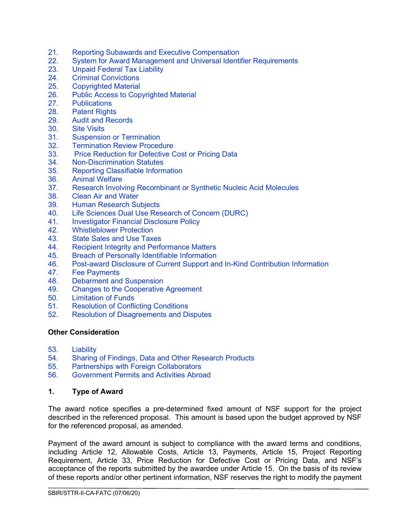- 21. Reporting Subawards and Executive [Compensation](#page-14-0)
- 22. [System for Award Management and](#page-17-0) Universal Identifier Requirements
- 23. [Unpaid Federal Tax Liability](#page-18-0)<br>24. Criminal Convictions
- 24. [Criminal Convictions](#page-18-1)<br>25. Copyrighted Material
- 25. [Copyrighted Material](#page-18-2)<br>26. Public Access to Cop
- 26. [Public Access to Copyrighted Material](#page-19-0)<br>27. Publications
- **[Publications](#page-20-0)**
- 28. [Patent Rights](#page-21-0)
- 29. [Audit and Records](#page-26-0)
- 30. [Site Visits](#page-26-1)<br>31. Suspensio
- 31. [Suspension or Termination](#page-27-0)<br>32. Termination Review Proced
- 32. [Termination Review Procedure](#page-28-0)<br>33. Price Reduction for Defective C
- 33. [Price Reduction for Defective Cost or Pricing Data](#page-28-1)<br>34. Non-Discrimination Statutes
- 34. [Non-Discrimination Statutes](#page-29-0)<br>35. Reporting Classifiable Inform
- 35. [Reporting Classifiable Information](#page-29-1)
- 36. [Animal Welfare](#page-29-2)
- 37. [Research Involving Recombinant or Synthetic Nucleic Acid Molecules](#page-30-0)
- 38. [Clean Air and Water](#page-30-1)<br>39. Human Research Su
- 39. [Human Research Subjects](#page-31-0)<br>40. Life Sciences Dual Use Res
- [Life Sciences Dual Use Research of Concern \(DURC\)](#page-31-1)
- 41. [Investigator Financial Disclosure Policy](#page-31-2)<br>42. Whistleblower Protection
- **[Whistleblower Protection](#page-31-3)**
- 43. [State Sales and Use Taxes](#page-32-0)
- 44. [Recipient Integrity and Performance Matters](#page-32-1)
- 45. [Breach of Personally Identifiable Information](#page-32-2)<br>46. Post-award Disclosure of Current Support an
- 46. [Post-award Disclosure of Current Support and In-Kind Contribution Information](#page-32-3)<br>47. Fee Payments
- 47. [Fee Payments](#page-33-0)<br>48. Debarment and
- 48. [Debarment and Suspension](#page-33-1)<br>49. Changes to the Cooperative
- 49. [Changes to the Cooperative Agreement](#page-33-2)
- 50. [Limitation of Funds](#page-34-0)
- 51. [Resolution of Conflicting Conditions](#page-34-1)
- 52. [Resolution of Disagreements and Disputes](#page-34-2)

#### **Other Consideration**

- 53. [Liability](#page-34-3)
- 54. [Sharing of Findings, Data and Other Research Products](#page-34-4)
- 55. [Partnerships with Foreign Collaborators](#page-35-0)
- 56. [Government Permits and Activities Abroad](#page-35-1)

#### <span id="page-1-0"></span>**1. Type of Award**

The award notice specifies a pre-determined fixed amount of NSF support for the project described in the referenced proposal. This amount is based upon the budget approved by NSF for the referenced proposal, as amended.

Payment of the award amount is subject to compliance with the award terms and conditions, including Article 12, Allowable Costs, Article 13, Payments, Article 15, Project Reporting Requirement, Article 33, Price Reduction for Defective Cost or Pricing Data, and NSF's acceptance of the reports submitted by the awardee under Article 15. On the basis of its review of these reports and/or other pertinent information, NSF reserves the right to modify the payment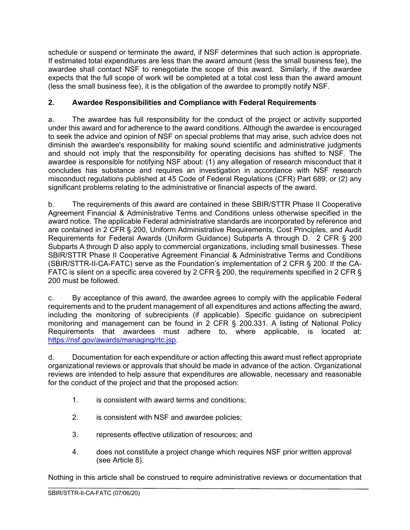schedule or suspend or terminate the award, if NSF determines that such action is appropriate. If estimated total expenditures are less than the award amount (less the small business fee), the awardee shall contact NSF to renegotiate the scope of this award. Similarly, if the awardee expects that the full scope of work will be completed at a total cost less than the award amount (less the small business fee), it is the obligation of the awardee to promptly notify NSF.

# <span id="page-2-0"></span>**2. Awardee Responsibilities and Compliance with Federal Requirements**

a. The awardee has full responsibility for the conduct of the project or activity supported under this award and for adherence to the award conditions. Although the awardee is encouraged to seek the advice and opinion of NSF on special problems that may arise, such advice does not diminish the awardee's responsibility for making sound scientific and administrative judgments and should not imply that the responsibility for operating decisions has shifted to NSF. The awardee is responsible for notifying NSF about: (1) any allegation of research misconduct that it concludes has substance and requires an investigation in accordance with NSF research misconduct regulations published at 45 Code of Federal Regulations (CFR) Part 689; or (2) any significant problems relating to the administrative or financial aspects of the award.

b. The requirements of this award are contained in these SBIR/STTR Phase II Cooperative Agreement Financial & Administrative Terms and Conditions unless otherwise specified in the award notice. The applicable Federal administrative standards are incorporated by reference and are contained in 2 CFR § 200, Uniform Administrative Requirements, Cost Principles, and Audit Requirements for Federal Awards (Uniform Guidance) Subparts A through D. 2 CFR § 200 Subparts A through D also apply to commercial organizations, including small businesses. These SBIR/STTR Phase II Cooperative Agreement Financial & Administrative Terms and Conditions (SBIR/STTR-II-CA-FATC) serve as the Foundation's implementation of 2 CFR § 200. If the CA-FATC is silent on a specific area covered by 2 CFR § 200, the requirements specified in 2 CFR § 200 must be followed.

c. By acceptance of this award, the awardee agrees to comply with the applicable Federal requirements and to the prudent management of all expenditures and actions affecting the award, including the monitoring of subrecipients (if applicable). Specific guidance on subrecipient monitoring and management can be found in 2 CFR § 200.331. A listing of National Policy Requirements that awardees must adhere to, where applicable, is located at: [https://nsf.gov/awards/managing/rtc.jsp.](https://nsf.gov/awards/managing/rtc.jsp)

d. Documentation for each expenditure or action affecting this award must reflect appropriate organizational reviews or approvals that should be made in advance of the action. Organizational reviews are intended to help assure that expenditures are allowable, necessary and reasonable for the conduct of the project and that the proposed action:

- 1. is consistent with award terms and conditions;
- 2. is consistent with NSF and awardee policies;
- 3. represents effective utilization of resources; and
- 4. does not constitute a project change which requires NSF prior written approval (see Article 8).

Nothing in this article shall be construed to require administrative reviews or documentation that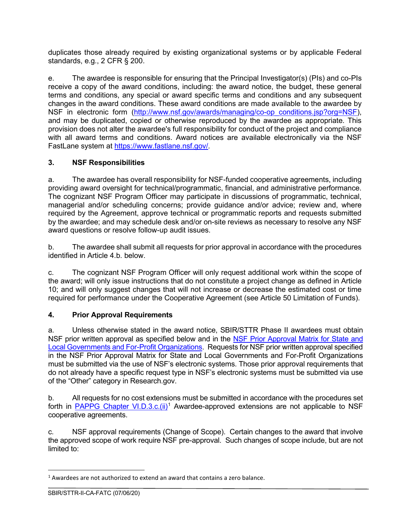duplicates those already required by existing organizational systems or by applicable Federal standards, e.g., 2 CFR § 200.

e. The awardee is responsible for ensuring that the Principal Investigator(s) (PIs) and co-PIs receive a copy of the award conditions, including: the award notice, the budget, these general terms and conditions, any special or award specific terms and conditions and any subsequent changes in the award conditions. These award conditions are made available to the awardee by NSF in electronic form [\(http://www.nsf.gov/awards/managing/co-op\\_conditions.jsp?org=NSF\)](http://www.nsf.gov/awards/managing/co-op_conditions.jsp?org=NSF), and may be duplicated, copied or otherwise reproduced by the awardee as appropriate. This provision does not alter the awardee's full responsibility for conduct of the project and compliance with all award terms and conditions. Award notices are available electronically via the NSF FastLane system at [https://www.fastlane.nsf.gov/.](https://www.fastlane.nsf.gov/)

## <span id="page-3-0"></span>**3. NSF Responsibilities**

a. The awardee has overall responsibility for NSF-funded cooperative agreements, including providing award oversight for technical/programmatic, financial, and administrative performance. The cognizant NSF Program Officer may participate in discussions of programmatic, technical, managerial and/or scheduling concerns; provide guidance and/or advice; review and, where required by the Agreement, approve technical or programmatic reports and requests submitted by the awardee; and may schedule desk and/or on-site reviews as necessary to resolve any NSF award questions or resolve follow-up audit issues.

b. The awardee shall submit all requests for prior approval in accordance with the procedures identified in Article 4.b. below.

c. The cognizant NSF Program Officer will only request additional work within the scope of the award; will only issue instructions that do not constitute a project change as defined in Article 10; and will only suggest changes that will not increase or decrease the estimated cost or time required for performance under the Cooperative Agreement (see Article 50 Limitation of Funds).

## <span id="page-3-1"></span>**4. Prior Approval Requirements**

a. Unless otherwise stated in the award notice, SBIR/STTR Phase II awardees must obtain NSF prior written approval as specified below and in the [NSF Prior Approval Matrix for State](https://www.nsf.gov/bfa/dias/policy/priorapprovals/march18.pdf) and [Local Governments and For-Profit Organizations.](https://www.nsf.gov/bfa/dias/policy/priorapprovals/march18.pdf) Requests for NSF prior written approval specified in the NSF Prior Approval Matrix for State and Local Governments and For-Profit Organizations must be submitted via the use of NSF's electronic systems. Those prior approval requirements that do not already have a specific request type in NSF's electronic systems must be submitted via use of the "Other" category in Research.gov.

b. All requests for no cost extensions must be submitted in accordance with the procedures set forth in PAPPG Chapter VI.D.3.c. $(ii)^1$  $(ii)^1$  Awardee-approved extensions are not applicable to NSF cooperative agreements.

c. NSF approval requirements (Change of Scope). Certain changes to the award that involve the approved scope of work require NSF pre-approval. Such changes of scope include, but are not limited to:

<span id="page-3-2"></span> $1$  Awardees are not authorized to extend an award that contains a zero balance.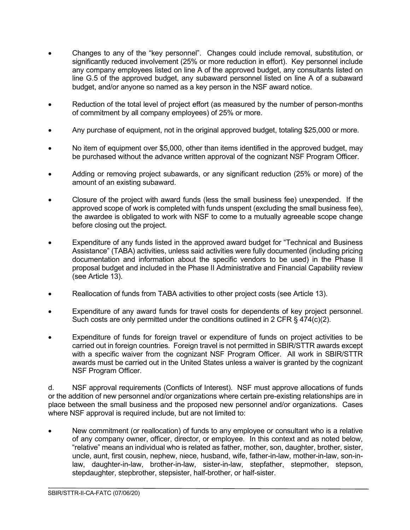- Changes to any of the "key personnel". Changes could include removal, substitution, or significantly reduced involvement (25% or more reduction in effort). Key personnel include any company employees listed on line A of the approved budget, any consultants listed on line G.5 of the approved budget, any subaward personnel listed on line A of a subaward budget, and/or anyone so named as a key person in the NSF award notice.
- Reduction of the total level of project effort (as measured by the number of person-months of commitment by all company employees) of 25% or more.
- Any purchase of equipment, not in the original approved budget, totaling \$25,000 or more.
- No item of equipment over \$5,000, other than items identified in the approved budget, may be purchased without the advance written approval of the cognizant NSF Program Officer.
- Adding or removing project subawards, or any significant reduction (25% or more) of the amount of an existing subaward.
- Closure of the project with award funds (less the small business fee) unexpended. If the approved scope of work is completed with funds unspent (excluding the small business fee), the awardee is obligated to work with NSF to come to a mutually agreeable scope change before closing out the project.
- Expenditure of any funds listed in the approved award budget for "Technical and Business Assistance" (TABA) activities, unless said activities were fully documented (including pricing documentation and information about the specific vendors to be used) in the Phase II proposal budget and included in the Phase II Administrative and Financial Capability review (see Article 13).
- Reallocation of funds from TABA activities to other project costs (see Article 13).
- Expenditure of any award funds for travel costs for dependents of key project personnel. Such costs are only permitted under the conditions outlined in 2 CFR § 474(c)(2).
- Expenditure of funds for foreign travel or expenditure of funds on project activities to be carried out in foreign countries. Foreign travel is not permitted in SBIR/STTR awards except with a specific waiver from the cognizant NSF Program Officer. All work in SBIR/STTR awards must be carried out in the United States unless a waiver is granted by the cognizant NSF Program Officer.

d. NSF approval requirements (Conflicts of Interest). NSF must approve allocations of funds or the addition of new personnel and/or organizations where certain pre-existing relationships are in place between the small business and the proposed new personnel and/or organizations. Cases where NSF approval is required include, but are not limited to:

• New commitment (or reallocation) of funds to any employee or consultant who is a relative of any company owner, officer, director, or employee. In this context and as noted below, "relative" means an individual who is related as father, mother, son, daughter, brother, sister, uncle, aunt, first cousin, nephew, niece, husband, wife, father-in-law, mother-in-law, son-inlaw, daughter-in-law, brother-in-law, sister-in-law, stepfather, stepmother, stepson, stepdaughter, stepbrother, stepsister, half-brother, or half-sister.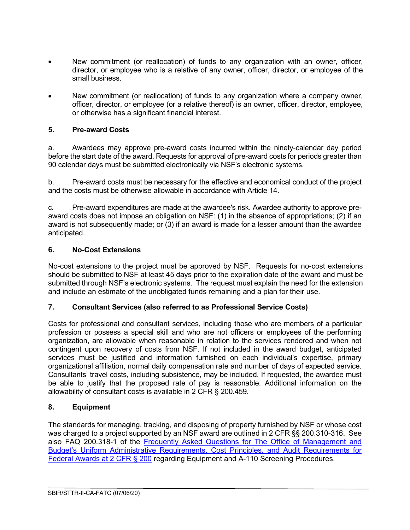- New commitment (or reallocation) of funds to any organization with an owner, officer, director, or employee who is a relative of any owner, officer, director, or employee of the small business.
- New commitment (or reallocation) of funds to any organization where a company owner, officer, director, or employee (or a relative thereof) is an owner, officer, director, employee, or otherwise has a significant financial interest.

#### <span id="page-5-0"></span>**5. Pre-award Costs**

a. Awardees may approve pre-award costs incurred within the ninety-calendar day period before the start date of the award. Requests for approval of pre-award costs for periods greater than 90 calendar days must be submitted electronically via NSF's electronic systems.

b. Pre-award costs must be necessary for the effective and economical conduct of the project and the costs must be otherwise allowable in accordance with Article 14.

c. Pre-award expenditures are made at the awardee's risk. Awardee authority to approve preaward costs does not impose an obligation on NSF: (1) in the absence of appropriations; (2) if an award is not subsequently made; or (3) if an award is made for a lesser amount than the awardee anticipated.

#### <span id="page-5-1"></span>**6. No-Cost Extensions**

No-cost extensions to the project must be approved by NSF. Requests for no-cost extensions should be submitted to NSF at least 45 days prior to the expiration date of the award and must be submitted through NSF's electronic systems. The request must explain the need for the extension and include an estimate of the unobligated funds remaining and a plan for their use.

#### <span id="page-5-2"></span>**7. Consultant Services (also referred to as Professional Service Costs)**

Costs for professional and consultant services, including those who are members of a particular profession or possess a special skill and who are not officers or employees of the performing organization, are allowable when reasonable in relation to the services rendered and when not contingent upon recovery of costs from NSF. If not included in the award budget, anticipated services must be justified and information furnished on each individual's expertise, primary organizational affiliation, normal daily compensation rate and number of days of expected service. Consultants' travel costs, including subsistence, may be included. If requested, the awardee must be able to justify that the proposed rate of pay is reasonable. Additional information on the allowability of consultant costs is available in 2 CFR § 200.459.

## <span id="page-5-3"></span>**8. Equipment**

The standards for managing, tracking, and disposing of property furnished by NSF or whose cost was charged to a project supported by an NSF award are outlined in 2 CFR §§ 200.310-316. See also FAQ 200.318-1 of the [Frequently Asked Questions for The Office of Management and](https://cfo.gov/wp-content/uploads/2017/08/July2017-UniformGuidanceFrequentlyAskedQuestions.pdf)  [Budget's Uniform Administrative Requirements, Cost Principles, and Audit Requirements for](https://cfo.gov/wp-content/uploads/2017/08/July2017-UniformGuidanceFrequentlyAskedQuestions.pdf)  [Federal Awards at 2 CFR § 200](https://cfo.gov/wp-content/uploads/2017/08/July2017-UniformGuidanceFrequentlyAskedQuestions.pdf) regarding Equipment and A-110 Screening Procedures.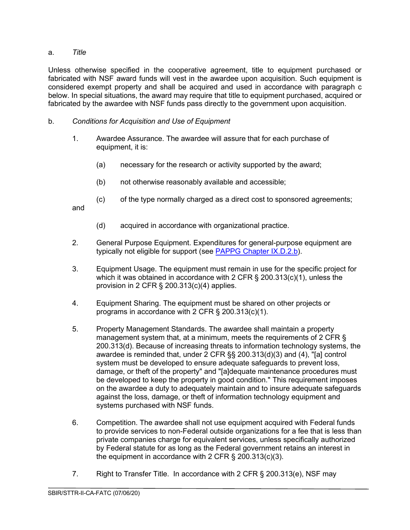## a. *Title*

Unless otherwise specified in the cooperative agreement, title to equipment purchased or fabricated with NSF award funds will vest in the awardee upon acquisition. Such equipment is considered exempt property and shall be acquired and used in accordance with paragraph c below. In special situations, the award may require that title to equipment purchased, acquired or fabricated by the awardee with NSF funds pass directly to the government upon acquisition.

- b. *Conditions for Acquisition and Use of Equipment*
	- 1. Awardee Assurance. The awardee will assure that for each purchase of equipment, it is:
		- (a) necessary for the research or activity supported by the award;
		- (b) not otherwise reasonably available and accessible;
		- (c) of the type normally charged as a direct cost to sponsored agreements;

and

- (d) acquired in accordance with organizational practice.
- 2. General Purpose Equipment. Expenditures for general-purpose equipment are typically not eligible for support (see [PAPPG Chapter IX.D.2.b\)](https://www.nsf.gov/pubs/policydocs/pappg20_1/pappg_9.jsp#IXD2).
- 3. Equipment Usage. The equipment must remain in use for the specific project for which it was obtained in accordance with 2 CFR § 200.313(c)(1), unless the provision in 2 CFR § 200.313(c)(4) applies.
- 4. Equipment Sharing. The equipment must be shared on other projects or programs in accordance with 2 CFR § 200.313(c)(1).
- 5. Property Management Standards. The awardee shall maintain a property management system that, at a minimum, meets the requirements of 2 CFR § 200.313(d). Because of increasing threats to information technology systems, the awardee is reminded that, under 2 CFR §§ 200.313(d)(3) and (4), "[a] control system must be developed to ensure adequate safeguards to prevent loss, damage, or theft of the property" and "[a]dequate maintenance procedures must be developed to keep the property in good condition." This requirement imposes on the awardee a duty to adequately maintain and to insure adequate safeguards against the loss, damage, or theft of information technology equipment and systems purchased with NSF funds.
- 6. Competition. The awardee shall not use equipment acquired with Federal funds to provide services to non-Federal outside organizations for a fee that is less than private companies charge for equivalent services, unless specifically authorized by Federal statute for as long as the Federal government retains an interest in the equipment in accordance with 2 CFR § 200.313(c)(3).
- 7. Right to Transfer Title. In accordance with 2 CFR § 200.313(e), NSF may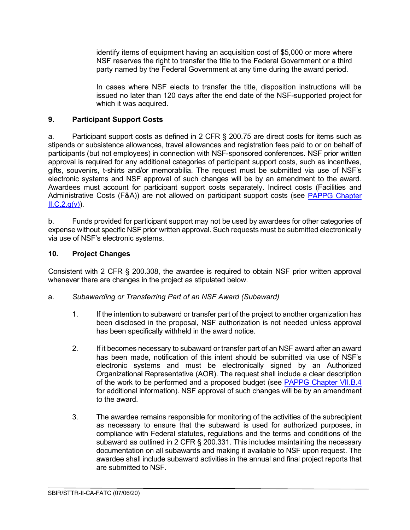identify items of equipment having an acquisition cost of \$5,000 or more where NSF reserves the right to transfer the title to the Federal Government or a third party named by the Federal Government at any time during the award period.

In cases where NSF elects to transfer the title, disposition instructions will be issued no later than 120 days after the end date of the NSF-supported project for which it was acquired.

## <span id="page-7-0"></span>**9. Participant Support Costs**

a. Participant support costs as defined in 2 CFR § 200.75 are direct costs for items such as stipends or subsistence allowances, travel allowances and registration fees paid to or on behalf of participants (but not employees) in connection with NSF-sponsored conferences. NSF prior written approval is required for any additional categories of participant support costs, such as incentives, gifts, souvenirs, t-shirts and/or memorabilia. The request must be submitted via use of NSF's electronic systems and NSF approval of such changes will be by an amendment to the award. Awardees must account for participant support costs separately. Indirect costs (Facilities and Administrative Costs (F&A)) are not allowed on participant support costs (see PAPPG Chapter  $ILC.2.q(v)$ .

b. Funds provided for participant support may not be used by awardees for other categories of expense without specific NSF prior written approval. Such requests must be submitted electronically via use of NSF's electronic systems.

## <span id="page-7-1"></span>**10. Project Changes**

Consistent with 2 CFR § 200.308, the awardee is required to obtain NSF prior written approval whenever there are changes in the project as stipulated below.

## <span id="page-7-2"></span>a. *Subawarding or Transferring Part of an NSF Award (Subaward)*

- 1. If the intention to subaward or transfer part of the project to another organization has been disclosed in the proposal, NSF authorization is not needed unless approval has been specifically withheld in the award notice.
- 2. If it becomes necessary to subaward or transfer part of an NSF award after an award has been made, notification of this intent should be submitted via use of NSF's electronic systems and must be electronically signed by an Authorized Organizational Representative (AOR). The request shall include a clear description of the work to be performed and a proposed budget (see [PAPPG Chapter VII.B.4](https://www.nsf.gov/pubs/policydocs/pappg20_1/pappg_7.jsp#VIIB4) for additional information). NSF approval of such changes will be by an amendment to the award.
- 3. The awardee remains responsible for monitoring of the activities of the subrecipient as necessary to ensure that the subaward is used for authorized purposes, in compliance with Federal statutes, regulations and the terms and conditions of the subaward as outlined in 2 CFR § 200.331. This includes maintaining the necessary documentation on all subawards and making it available to NSF upon request. The awardee shall include subaward activities in the annual and final project reports that are submitted to NSF.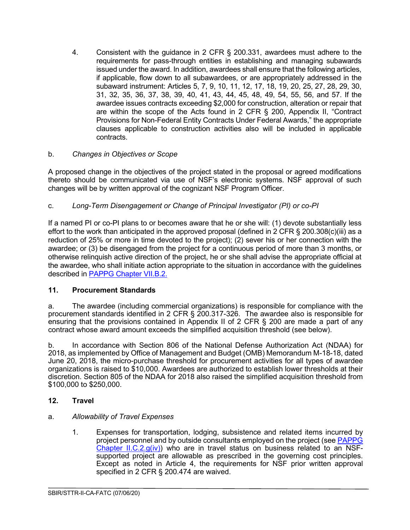4. Consistent with the guidance in 2 CFR § 200.331, awardees must adhere to the requirements for pass-through entities in establishing and managing subawards issued under the award. In addition, awardees shall ensure that the following articles, if applicable, flow down to all subawardees, or are appropriately addressed in the subaward instrument: Articles 5, 7, 9, 10, 11, 12, 17, 18, 19, 20, 25, 27, 28, 29, 30, 31, 32, 35, 36, 37, 38, 39, 40, 41, 43, 44, 45, 48, 49, 54, 55, 56, and 57. If the awardee issues contracts exceeding \$2,000 for construction, alteration or repair that are within the scope of the Acts found in 2 CFR § 200, Appendix II, "Contract Provisions for Non-Federal Entity Contracts Under Federal Awards," the appropriate clauses applicable to construction activities also will be included in applicable contracts.

## <span id="page-8-0"></span>b. *Changes in Objectives or Scope*

A proposed change in the objectives of the project stated in the proposal or agreed modifications thereto should be communicated via use of NSF's electronic systems. NSF approval of such changes will be by written approval of the cognizant NSF Program Officer.

# <span id="page-8-1"></span>c. *Long-Term Disengagement or Change of Principal Investigator (PI) or co-PI*

If a named PI or co-PI plans to or becomes aware that he or she will: (1) devote substantially less effort to the work than anticipated in the approved proposal (defined in 2 CFR § 200.308(c)(iii) as a reduction of 25% or more in time devoted to the project); (2) sever his or her connection with the awardee; or (3) be disengaged from the project for a continuous period of more than 3 months, or otherwise relinquish active direction of the project, he or she shall advise the appropriate official at the awardee, who shall initiate action appropriate to the situation in accordance with the guidelines described in [PAPPG Chapter VII.B.2.](https://www.nsf.gov/pubs/policydocs/pappg20_1/pappg_7.jsp#VIIB2)

## <span id="page-8-2"></span>**11. Procurement Standards**

a. The awardee (including commercial organizations) is responsible for compliance with the procurement standards identified in 2 CFR § 200.317-326. The awardee also is responsible for ensuring that the provisions contained in Appendix II of 2 CFR § 200 are made a part of any contract whose award amount exceeds the simplified acquisition threshold (see below).

b. In accordance with Section 806 of the National Defense Authorization Act (NDAA) for 2018, as implemented by Office of Management and Budget (OMB) Memorandum M-18-18, dated June 20, 2018, the micro-purchase threshold for procurement activities for all types of awardee organizations is raised to \$10,000. Awardees are authorized to establish lower thresholds at their discretion. Section 805 of the NDAA for 2018 also raised the simplified acquisition threshold from \$100,000 to \$250,000.

## <span id="page-8-3"></span>**12. Travel**

## a. *Allowability of Travel Expenses*

1. Expenses for transportation, lodging, subsistence and related items incurred by project personnel and by outside consultants employed on the project (see [PAPPG](https://www.nsf.gov/pubs/policydocs/pappg20_1/pappg_2.jsp#IIC2giv)  Chapter II.C.2. $g(iv)$ ) who are in travel status on business related to an NSFsupported project are allowable as prescribed in the governing cost principles. Except as noted in Article 4, the requirements for NSF prior written approval specified in 2 CFR § 200.474 are waived.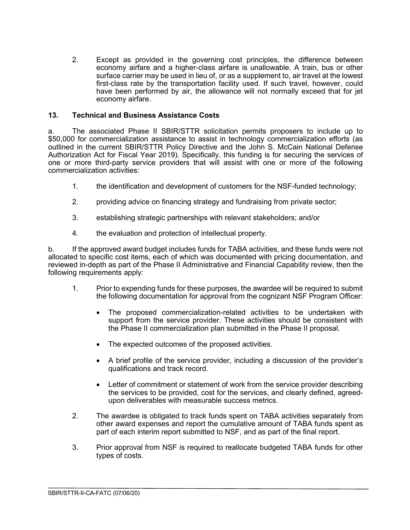2. Except as provided in the governing cost principles, the difference between economy airfare and a higher-class airfare is unallowable. A train, bus or other surface carrier may be used in lieu of, or as a supplement to, air travel at the lowest first-class rate by the transportation facility used. If such travel, however, could have been performed by air, the allowance will not normally exceed that for jet economy airfare.

#### <span id="page-9-0"></span>**13. Technical and Business Assistance Costs**

a. The associated Phase II SBIR/STTR solicitation permits proposers to include up to \$50,000 for commercialization assistance to assist in technology commercialization efforts (as outlined in the current SBIR/STTR Policy Directive and the John S. McCain National Defense Authorization Act for Fiscal Year 2019). Specifically, this funding is for securing the services of one or more third-party service providers that will assist with one or more of the following commercialization activities:

- 1. the identification and development of customers for the NSF-funded technology;
- 2. providing advice on financing strategy and fundraising from private sector;
- 3. establishing strategic partnerships with relevant stakeholders; and/or
- 4. the evaluation and protection of intellectual property.

b. If the approved award budget includes funds for TABA activities, and these funds were not allocated to specific cost items, each of which was documented with pricing documentation, and reviewed in-depth as part of the Phase II Administrative and Financial Capability review, then the following requirements apply:

- 1. Prior to expending funds for these purposes, the awardee will be required to submit the following documentation for approval from the cognizant NSF Program Officer:
	- The proposed commercialization-related activities to be undertaken with support from the service provider. These activities should be consistent with the Phase II commercialization plan submitted in the Phase II proposal.
	- The expected outcomes of the proposed activities.
	- A brief profile of the service provider, including a discussion of the provider's qualifications and track record.
	- Letter of commitment or statement of work from the service provider describing the services to be provided, cost for the services, and clearly defined, agreedupon deliverables with measurable success metrics.
- 2. The awardee is obligated to track funds spent on TABA activities separately from other award expenses and report the cumulative amount of TABA funds spent as part of each interim report submitted to NSF, and as part of the final report.
- <span id="page-9-1"></span>3. Prior approval from NSF is required to reallocate budgeted TABA funds for other types of costs.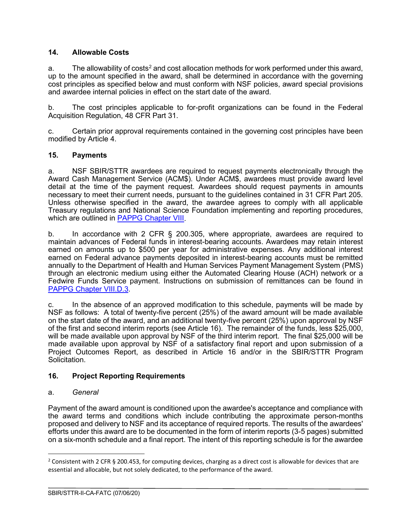#### **14. Allowable Costs**

a. The allowability of costs<sup>[2](#page-10-3)</sup> and cost allocation methods for work performed under this award, up to the amount specified in the award, shall be determined in accordance with the governing cost principles as specified below and must conform with NSF policies, award special provisions and awardee internal policies in effect on the start date of the award.

b. The cost principles applicable to for-profit organizations can be found in the Federal Acquisition Regulation, 48 CFR Part 31.

c. Certain prior approval requirements contained in the governing cost principles have been modified by Article 4.

#### <span id="page-10-0"></span>**15. Payments**

a. NSF SBIR/STTR awardees are required to request payments electronically through the Award Cash Management Service (ACM\$). Under ACM\$, awardees must provide award level detail at the time of the payment request. Awardees should request payments in amounts necessary to meet their current needs, pursuant to the guidelines contained in 31 CFR Part 205. Unless otherwise specified in the award, the awardee agrees to comply with all applicable Treasury regulations and National Science Foundation implementing and reporting procedures, which are outlined in [PAPPG Chapter VIII.](https://www.nsf.gov/pubs/policydocs/pappg20_1/pappg_8.jsp)

b. In accordance with 2 CFR § 200.305, where appropriate, awardees are required to maintain advances of Federal funds in interest-bearing accounts. Awardees may retain interest earned on amounts up to \$500 per year for administrative expenses. Any additional interest earned on Federal advance payments deposited in interest-bearing accounts must be remitted annually to the Department of Health and Human Services Payment Management System (PMS) through an electronic medium using either the Automated Clearing House (ACH) network or a Fedwire Funds Service payment. Instructions on submission of remittances can be found in [PAPPG Chapter VIII.D.3.](https://www.nsf.gov/pubs/policydocs/pappg20_1/pappg_8.jsp#VIIID3)

c. In the absence of an approved modification to this schedule, payments will be made by NSF as follows: A total of twenty-five percent (25%) of the award amount will be made available on the start date of the award, and an additional twenty-five percent (25%) upon approval by NSF of the first and second interim reports (see Article 16). The remainder of the funds, less \$25,000, will be made available upon approval by NSF of the third interim report. The final \$25,000 will be made available upon approval by NSF of a satisfactory final report and upon submission of a Project Outcomes Report, as described in Article 16 and/or in the SBIR/STTR Program Solicitation.

#### <span id="page-10-1"></span>**16. Project Reporting Requirements**

#### <span id="page-10-2"></span>a. *General*

Payment of the award amount is conditioned upon the awardee's acceptance and compliance with the award terms and conditions which include contributing the approximate person-months proposed and delivery to NSF and its acceptance of required reports. The results of the awardees' efforts under this award are to be documented in the form of interim reports (3-5 pages) submitted on a six-month schedule and a final report. The intent of this reporting schedule is for the awardee

<span id="page-10-3"></span><sup>&</sup>lt;sup>2</sup> Consistent with 2 CFR § 200.453, for computing devices, charging as a direct cost is allowable for devices that are essential and allocable, but not solely dedicated, to the performance of the award.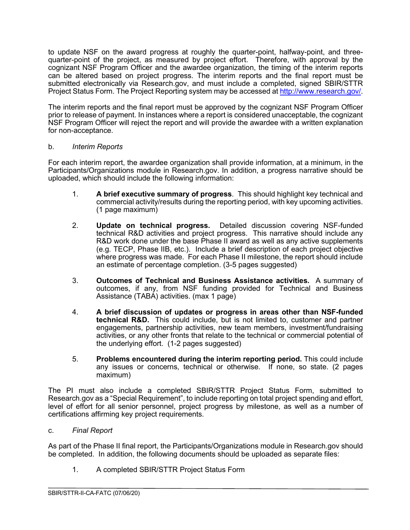to update NSF on the award progress at roughly the quarter-point, halfway-point, and threequarter-point of the project, as measured by project effort. Therefore, with approval by the cognizant NSF Program Officer and the awardee organization, the timing of the interim reports can be altered based on project progress. The interim reports and the final report must be submitted electronically via Research.gov, and must include a completed, signed SBIR/STTR Project Status Form. The Project Reporting system may be accessed at [http://www.research.gov/.](http://www.research.gov/)

The interim reports and the final report must be approved by the cognizant NSF Program Officer prior to release of payment. In instances where a report is considered unacceptable, the cognizant NSF Program Officer will reject the report and will provide the awardee with a written explanation for non-acceptance.

#### <span id="page-11-0"></span>b. *Interim Reports*

For each interim report, the awardee organization shall provide information, at a minimum, in the Participants/Organizations module in Research.gov. In addition, a progress narrative should be uploaded, which should include the following information:

- 1. **A brief executive summary of progress**. This should highlight key technical and commercial activity/results during the reporting period, with key upcoming activities. (1 page maximum)
- 2. **Update on technical progress.** Detailed discussion covering NSF-funded technical R&D activities and project progress. This narrative should include any R&D work done under the base Phase II award as well as any active supplements (e.g. TECP, Phase IIB, etc.). Include a brief description of each project objective where progress was made. For each Phase II milestone, the report should include an estimate of percentage completion. (3-5 pages suggested)
- 3. **Outcomes of Technical and Business Assistance activities.** A summary of outcomes, if any, from NSF funding provided for Technical and Business Assistance (TABA) activities. (max 1 page)
- 4. **A brief discussion of updates or progress in areas other than NSF-funded technical R&D.** This could include, but is not limited to, customer and partner engagements, partnership activities, new team members, investment/fundraising activities, or any other fronts that relate to the technical or commercial potential of the underlying effort. (1-2 pages suggested)
- 5. **Problems encountered during the interim reporting period.** This could include any issues or concerns, technical or otherwise. If none, so state. (2 pages maximum)

The PI must also include a completed SBIR/STTR Project Status Form, submitted to Research.gov as a "Special Requirement", to include reporting on total project spending and effort, level of effort for all senior personnel, project progress by milestone, as well as a number of certifications affirming key project requirements.

<span id="page-11-1"></span>c. *Final Report*

As part of the Phase II final report, the Participants/Organizations module in Research.gov should be completed. In addition, the following documents should be uploaded as separate files:

1. A completed SBIR/STTR Project Status Form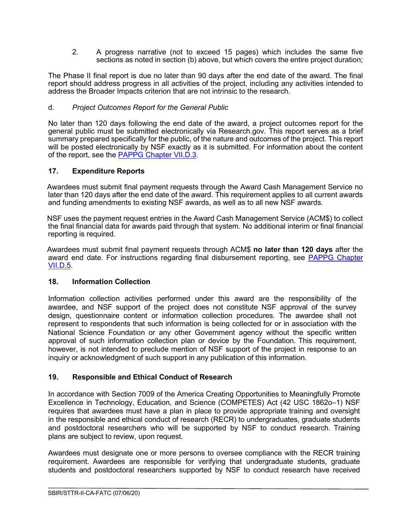2. A progress narrative (not to exceed 15 pages) which includes the same five sections as noted in section (b) above, but which covers the entire project duration;

The Phase II final report is due no later than 90 days after the end date of the award. The final report should address progress in all activities of the project, including any activities intended to address the Broader Impacts criterion that are not intrinsic to the research.

#### <span id="page-12-0"></span>d. *Project Outcomes Report for the General Public*

No later than 120 days following the end date of the award, a project outcomes report for the general public must be submitted electronically via Research.gov. This report serves as a brief summary prepared specifically for the public, of the nature and outcomes of the project. This report will be posted electronically by NSF exactly as it is submitted. For information about the content of the report, see the [PAPPG Chapter VII.D.3.](https://www.nsf.gov/pubs/policydocs/pappg20_1/pappg_7.jsp#VIID3)

#### <span id="page-12-1"></span>**17. Expenditure Reports**

Awardees must submit final payment requests through the Award Cash Management Service no later than 120 days after the end date of the award. This requirement applies to all current awards and funding amendments to existing NSF awards, as well as to all new NSF awards.

NSF uses the payment request entries in the Award Cash Management Service (ACM\$) to collect the final financial data for awards paid through that system. No additional interim or final financial reporting is required.

Awardees must submit final payment requests through ACM\$ **no later than 120 days** after the award end date. For instructions regarding final disbursement reporting, see [PAPPG Chapter](https://www.nsf.gov/pubs/policydocs/pappg20_1/pappg_7.jsp#VIID5)  [VII.D.5.](https://www.nsf.gov/pubs/policydocs/pappg20_1/pappg_7.jsp#VIID5)

#### <span id="page-12-2"></span>**18. Information Collection**

Information collection activities performed under this award are the responsibility of the awardee, and NSF support of the project does not constitute NSF approval of the survey design, questionnaire content or information collection procedures. The awardee shall not represent to respondents that such information is being collected for or in association with the National Science Foundation or any other Government agency without the specific written approval of such information collection plan or device by the Foundation. This requirement, however, is not intended to preclude mention of NSF support of the project in response to an inquiry or acknowledgment of such support in any publication of this information.

## <span id="page-12-3"></span>**19. Responsible and Ethical Conduct of Research**

In accordance with Section 7009 of the America Creating Opportunities to Meaningfully Promote Excellence in Technology, Education, and Science (COMPETES) Act (42 USC 1862o–1) NSF requires that awardees must have a plan in place to provide appropriate training and oversight in the responsible and ethical conduct of research (RECR) to undergraduates, graduate students and postdoctoral researchers who will be supported by NSF to conduct research. Training plans are subject to review, upon request.

Awardees must designate one or more persons to oversee compliance with the RECR training requirement. Awardees are responsible for verifying that undergraduate students, graduate students and postdoctoral researchers supported by NSF to conduct research have received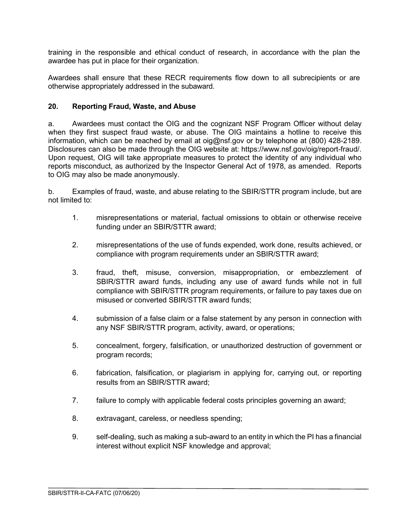training in the responsible and ethical conduct of research, in accordance with the plan the awardee has put in place for their organization.

Awardees shall ensure that these RECR requirements flow down to all subrecipients or are otherwise appropriately addressed in the subaward.

## <span id="page-13-0"></span>**20. Reporting Fraud, Waste, and Abuse**

a. Awardees must contact the OIG and the cognizant NSF Program Officer without delay when they first suspect fraud waste, or abuse. The OIG maintains a hotline to receive this information, which can be reached by email at [oig@nsf.gov](mailto:oig@nsf.gov) or by telephone at (800) 428-2189. Disclosures can also be made through the OIG website at: [https://www.nsf.gov/oig/report-fraud/.](https://www.nsf.gov/oig/report-fraud/) Upon request, OIG will take appropriate measures to protect the identity of any individual who reports misconduct, as authorized by the Inspector General Act of 1978, as amended. Reports to OIG may also be made anonymously.

b. Examples of fraud, waste, and abuse relating to the SBIR/STTR program include, but are not limited to:

- 1. misrepresentations or material, factual omissions to obtain or otherwise receive funding under an SBIR/STTR award;
- 2. misrepresentations of the use of funds expended, work done, results achieved, or compliance with program requirements under an SBIR/STTR award;
- 3. fraud, theft, misuse, conversion, misappropriation, or embezzlement of SBIR/STTR award funds, including any use of award funds while not in full compliance with SBIR/STTR program requirements, or failure to pay taxes due on misused or converted SBIR/STTR award funds;
- 4. submission of a false claim or a false statement by any person in connection with any NSF SBIR/STTR program, activity, award, or operations;
- 5. concealment, forgery, falsification, or unauthorized destruction of government or program records;
- 6. fabrication, falsification, or plagiarism in applying for, carrying out, or reporting results from an SBIR/STTR award;
- 7. failure to comply with applicable federal costs principles governing an award;
- 8. extravagant, careless, or needless spending;
- 9. self-dealing, such as making a sub-award to an entity in which the PI has a financial interest without explicit NSF knowledge and approval;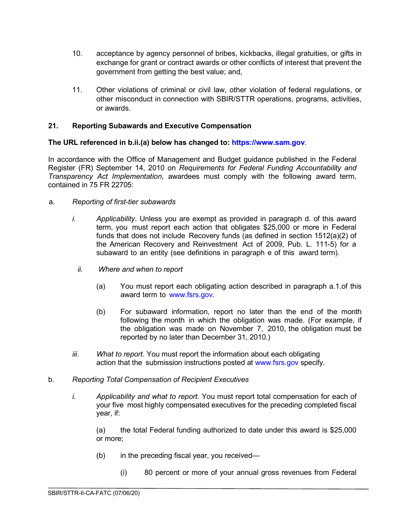- 10. acceptance by agency personnel of bribes, kickbacks, illegal gratuities, or gifts in exchange for grant or contract awards or other conflicts of interest that prevent the government from getting the best value; and,
- 11. Other violations of criminal or civil law, other violation of federal regulations, or other misconduct in connection with SBIR/STTR operations, programs, activities, or awards.

#### <span id="page-14-0"></span>**21. Reporting Subawards and Executive Compensation**

#### **The URL referenced in b.ii.(a) below has changed to: [https://www.sam.gov](https://www.sam.gov/)**.

In accordance with the Office of Management and Budget guidance published in the Federal Register (FR) September 14, 2010 on *Requirements for Federal Funding Accountability and Transparency Act Implementation*, awardees must comply with the following award term, contained in 75 FR 22705:

#### a. *Reporting of first-tier subawards*

- *i. Applicability*. Unless you are exempt as provided in paragraph d. of this award term, you must report each action that obligates \$25,000 or more in Federal funds that does not include Recovery funds (as defined in section 1512(a)(2) of the American Recovery and Reinvestment Act of 2009, Pub. L. 111-5) for a subaward to an entity (see definitions in paragraph e of this award term).
	- *ii. Where and when to report*
		- (a) You must report each obligating action described in paragraph a.1.of this award term to [www.fsrs.gov.](http://www.fsrs.gov/)
		- (b) For subaward information, report no later than the end of the month following the month in which the obligation was made. (For example, if the obligation was made on November 7, 2010, the obligation must be reported by no later than December 31, 2010.)
- *iii. What to report*. You must report the information about each obligating action that the submission instructions posted at [www.fsrs.gov](http://www.fsrs.gov/) specify.
- b. *Reporting Total Compensation of Recipient Executives*
	- *i. Applicability and what to report*. You must report total compensation for each of your five most highly compensated executives for the preceding completed fiscal year, if:

(a) the total Federal funding authorized to date under this award is \$25,000 or more;

- (b) in the preceding fiscal year, you received—
	- (i) 80 percent or more of your annual gross revenues from Federal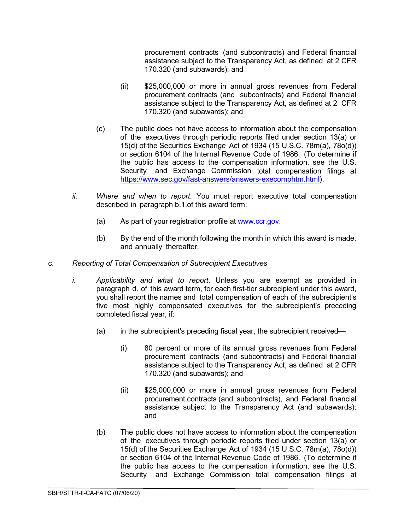procurement contracts (and subcontracts) and Federal financial assistance subject to the Transparency Act, as defined at 2 CFR 170.320 (and subawards); and

- (ii) \$25,000,000 or more in annual gross revenues from Federal procurement contracts (and subcontracts) and Federal financial assistance subject to the Transparency Act, as defined at 2 CFR 170.320 (and subawards); and
- (c) The public does not have access to information about the compensation of the executives through periodic reports filed under section 13(a) or 15(d) of the Securities Exchange Act of 1934 (15 U.S.C. 78m(a), 78o(d)) or section 6104 of the Internal Revenue Code of 1986. (To determine if the public has access to the compensation information, see the U.S. Security and Exchange Commission total compensation filings at [https://www.sec.gov/fast-answers/answers-execomphtm.html\)](https://www.sec.gov/fast-answers/answers-execomphtm.html).
- *ii. Where and when to report*. You must report executive total compensation described in paragraph b.1.of this award term:
	- (a) As part of your registration profile at [www.ccr.gov.](http://www.ccr.gov/)
	- (b) By the end of the month following the month in which this award is made, and annually thereafter.
- c. *Reporting of Total Compensation of Subrecipient Executives*
	- *i. Applicability and what to report*. Unless you are exempt as provided in paragraph d. of this award term, for each first-tier subrecipient under this award, you shall report the names and total compensation of each of the subrecipient's five most highly compensated executives for the subrecipient's preceding completed fiscal year, if:
		- (a) in the subrecipient's preceding fiscal year, the subrecipient received—
			- (i) 80 percent or more of its annual gross revenues from Federal procurement contracts (and subcontracts) and Federal financial assistance subject to the Transparency Act, as defined at 2 CFR 170.320 (and subawards); and
			- (ii) \$25,000,000 or more in annual gross revenues from Federal procurement contracts (and subcontracts), and Federal financial assistance subject to the Transparency Act (and subawards); and
		- (b) The public does not have access to information about the compensation of the executives through periodic reports filed under section 13(a) or 15(d) of the Securities Exchange Act of 1934 (15 U.S.C. 78m(a), 78o(d)) or section 6104 of the Internal Revenue Code of 1986. (To determine if the public has access to the compensation information, see the U.S. Security and Exchange Commission total compensation filings at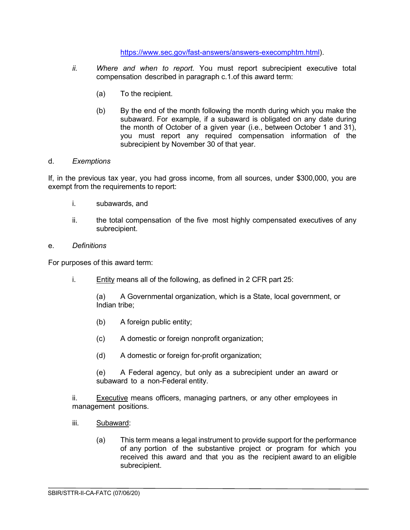[https://www.sec.gov/fast-answers/answers-execomphtm.html\)](https://www.sec.gov/fast-answers/answers-execomphtm.html).

- *ii. Where and when to report*. You must report subrecipient executive total compensation described in paragraph c.1.of this award term:
	- (a) To the recipient.
	- (b) By the end of the month following the month during which you make the subaward. For example, if a subaward is obligated on any date during the month of October of a given year (i.e., between October 1 and 31), you must report any required compensation information of the subrecipient by November 30 of that year.

#### d. *Exemptions*

If, in the previous tax year, you had gross income, from all sources, under \$300,000, you are exempt from the requirements to report:

- i. subawards, and
- ii. the total compensation of the five most highly compensated executives of any subrecipient.

#### e. *Definitions*

For purposes of this award term:

i. Entity means all of the following, as defined in 2 CFR part 25:

(a) A Governmental organization, which is a State, local government, or Indian tribe;

- (b) A foreign public entity;
- (c) A domestic or foreign nonprofit organization;
- (d) A domestic or foreign for-profit organization;

(e) A Federal agency, but only as a subrecipient under an award or subaward to a non-Federal entity.

ii. Executive means officers, managing partners, or any other employees in management positions.

- iii. Subaward:
	- (a) This term means a legal instrument to provide support for the performance of any portion of the substantive project or program for which you received this award and that you as the recipient award to an eligible subrecipient.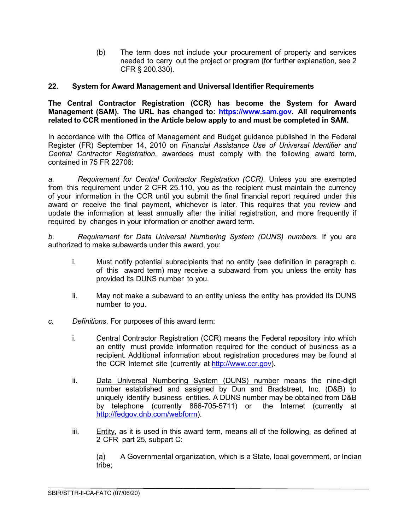(b) The term does not include your procurement of property and services needed to carry out the project or program (for further explanation, see 2 CFR § 200.330).

#### <span id="page-17-0"></span>**22. System for Award Management and Universal Identifier Requirements**

**The Central Contractor Registration (CCR) has become the System for Award Management (SAM). The URL has changed to: [https://www.sam.gov.](https://www.sam.gov/) All requirements related to CCR mentioned in the Article below apply to and must be completed in SAM.**

In accordance with the Office of Management and Budget guidance published in the Federal Register (FR) September 14, 2010 on *Financial Assistance Use of Universal Identifier and Central Contractor Registration*, awardees must comply with the following award term, contained in 75 FR 22706:

*a. Requirement for Central Contractor Registration (CCR).* Unless you are exempted from this requirement under 2 CFR 25.110, you as the recipient must maintain the currency of your information in the CCR until you submit the final financial report required under this award or receive the final payment, whichever is later. This requires that you review and update the information at least annually after the initial registration, and more frequently if required by changes in your information or another award term.

*b. Requirement for Data Universal Numbering System (DUNS) numbers*. If you are authorized to make subawards under this award, you:

- i. Must notify potential subrecipients that no entity (see definition in paragraph c. of this award term) may receive a subaward from you unless the entity has provided its DUNS number to you.
- ii. May not make a subaward to an entity unless the entity has provided its DUNS number to you.
- *c. Definitions*. For purposes of this award term:
	- i. Central Contractor Registration (CCR) means the Federal repository into which an entity must provide information required for the conduct of business as a recipient. Additional information about registration procedures may be found at the CCR Internet site (currently at [http://www.ccr.gov\)](http://www.ccr.gov/).
	- ii. Data Universal Numbering System (DUNS) number means the nine-digit number established and assigned by Dun and Bradstreet, Inc. (D&B) to uniquely identify business entities. A DUNS number may be obtained from D&B by telephone (currently 866-705-5711) or the Internet (currently at [http://fedgov.dnb.com/webform\)](http://fedgov.dnb.com/webform).
	- iii. Entity, as it is used in this award term, means all of the following, as defined at 2 CFR part 25, subpart C:

(a) A Governmental organization, which is a State, local government, or Indian tribe;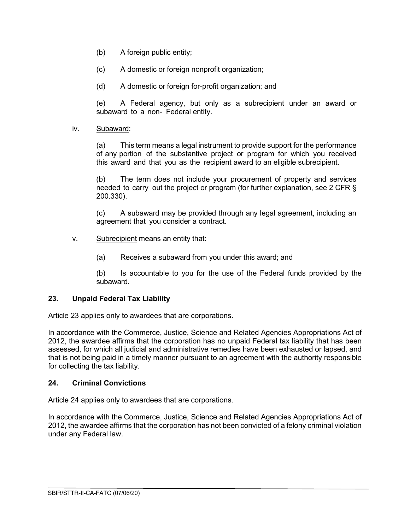- (b) A foreign public entity;
- (c) A domestic or foreign nonprofit organization;
- (d) A domestic or foreign for-profit organization; and

(e) A Federal agency, but only as a subrecipient under an award or subaward to a non- Federal entity.

iv. Subaward:

(a) This term means a legal instrument to provide support for the performance of any portion of the substantive project or program for which you received this award and that you as the recipient award to an eligible subrecipient.

(b) The term does not include your procurement of property and services needed to carry out the project or program (for further explanation, see 2 CFR § 200.330).

(c) A subaward may be provided through any legal agreement, including an agreement that you consider a contract.

- v. Subrecipient means an entity that:
	- (a) Receives a subaward from you under this award; and

(b) Is accountable to you for the use of the Federal funds provided by the subaward.

## <span id="page-18-0"></span>**23. Unpaid Federal Tax Liability**

Article 23 applies only to awardees that are corporations.

In accordance with the Commerce, Justice, Science and Related Agencies Appropriations Act of 2012, the awardee affirms that the corporation has no unpaid Federal tax liability that has been assessed, for which all judicial and administrative remedies have been exhausted or lapsed, and that is not being paid in a timely manner pursuant to an agreement with the authority responsible for collecting the tax liability.

#### <span id="page-18-1"></span>**24. Criminal Convictions**

Article 24 applies only to awardees that are corporations.

<span id="page-18-2"></span>In accordance with the Commerce, Justice, Science and Related Agencies Appropriations Act of 2012, the awardee affirms that the corporation has not been convicted of a felony criminal violation under any Federal law.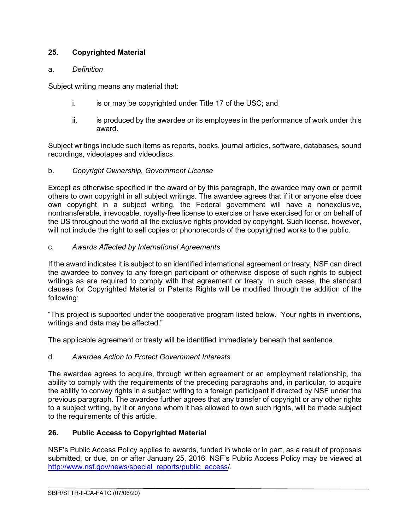## **25. Copyrighted Material**

#### a. *Definition*

Subject writing means any material that:

- i. is or may be copyrighted under Title 17 of the USC; and
- ii. is produced by the awardee or its employees in the performance of work under this award.

Subject writings include such items as reports, books, journal articles, software, databases, sound recordings, videotapes and videodiscs.

## b. *Copyright Ownership, Government License*

Except as otherwise specified in the award or by this paragraph, the awardee may own or permit others to own copyright in all subject writings. The awardee agrees that if it or anyone else does own copyright in a subject writing, the Federal government will have a nonexclusive, nontransferable, irrevocable, royalty-free license to exercise or have exercised for or on behalf of the US throughout the world all the exclusive rights provided by copyright. Such license, however, will not include the right to sell copies or phonorecords of the copyrighted works to the public.

#### c. *Awards Affected by International Agreements*

If the award indicates it is subject to an identified international agreement or treaty, NSF can direct the awardee to convey to any foreign participant or otherwise dispose of such rights to subject writings as are required to comply with that agreement or treaty. In such cases, the standard clauses for Copyrighted Material or Patents Rights will be modified through the addition of the following:

"This project is supported under the cooperative program listed below. Your rights in inventions, writings and data may be affected."

The applicable agreement or treaty will be identified immediately beneath that sentence.

## d. *Awardee Action to Protect Government Interests*

The awardee agrees to acquire, through written agreement or an employment relationship, the ability to comply with the requirements of the preceding paragraphs and, in particular, to acquire the ability to convey rights in a subject writing to a foreign participant if directed by NSF under the previous paragraph. The awardee further agrees that any transfer of copyright or any other rights to a subject writing, by it or anyone whom it has allowed to own such rights, will be made subject to the requirements of this article.

## <span id="page-19-0"></span>**26. Public Access to Copyrighted Material**

NSF's Public Access Policy applies to awards, funded in whole or in part, as a result of proposals submitted, or due, on or after January 25, 2016. NSF's Public Access Policy may be viewed at [http://www.nsf.gov/news/special\\_reports/public\\_access/](http://www.nsf.gov/news/special_reports/public_access).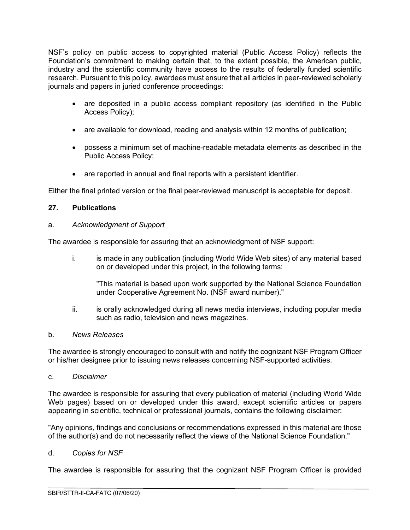NSF's policy on public access to copyrighted material (Public Access Policy) reflects the Foundation's commitment to making certain that, to the extent possible, the American public, industry and the scientific community have access to the results of federally funded scientific research. Pursuant to this policy, awardees must ensure that all articles in peer-reviewed scholarly journals and papers in juried conference proceedings:

- are deposited in a public access compliant repository (as identified in the Public Access Policy);
- are available for download, reading and analysis within 12 months of publication;
- possess a minimum set of machine-readable metadata elements as described in the Public Access Policy;
- are reported in annual and final reports with a persistent identifier.

Either the final printed version or the final peer-reviewed manuscript is acceptable for deposit.

## <span id="page-20-0"></span>**27. Publications**

#### a. *Acknowledgment of Support*

The awardee is responsible for assuring that an acknowledgment of NSF support:

i. is made in any publication (including World Wide Web sites) of any material based on or developed under this project, in the following terms:

"This material is based upon work supported by the National Science Foundation under Cooperative Agreement No. (NSF award number)."

ii. is orally acknowledged during all news media interviews, including popular media such as radio, television and news magazines.

#### b. *News Releases*

The awardee is strongly encouraged to consult with and notify the cognizant NSF Program Officer or his/her designee prior to issuing news releases concerning NSF-supported activities.

c. *Disclaimer*

The awardee is responsible for assuring that every publication of material (including World Wide Web pages) based on or developed under this award, except scientific articles or papers appearing in scientific, technical or professional journals, contains the following disclaimer:

"Any opinions, findings and conclusions or recommendations expressed in this material are those of the author(s) and do not necessarily reflect the views of the National Science Foundation."

#### d. *Copies for NSF*

The awardee is responsible for assuring that the cognizant NSF Program Officer is provided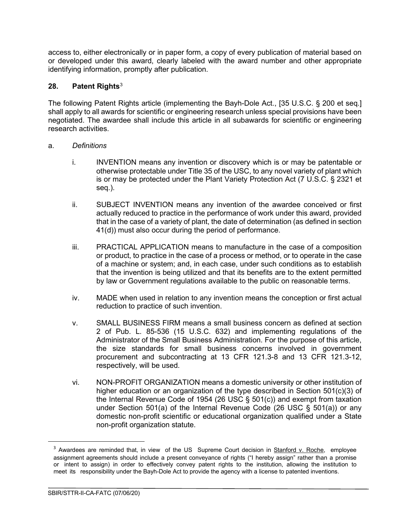access to, either electronically or in paper form, a copy of every publication of material based on or developed under this award, clearly labeled with the award number and other appropriate identifying information, promptly after publication.

## <span id="page-21-0"></span>**28. Patent Rights**[3](#page-21-1)

The following Patent Rights article (implementing the Bayh-Dole Act., [35 U.S.C. § 200 et seq.] shall apply to all awards for scientific or engineering research unless special provisions have been negotiated. The awardee shall include this article in all subawards for scientific or engineering research activities.

#### a. *Definitions*

- i. INVENTION means any invention or discovery which is or may be patentable or otherwise protectable under Title 35 of the USC, to any novel variety of plant which is or may be protected under the Plant Variety Protection Act (7 U.S.C. § 2321 et seq.).
- ii. SUBJECT INVENTION means any invention of the awardee conceived or first actually reduced to practice in the performance of work under this award, provided that in the case of a variety of plant, the date of determination (as defined in section 41(d)) must also occur during the period of performance.
- iii. PRACTICAL APPLICATION means to manufacture in the case of a composition or product, to practice in the case of a process or method, or to operate in the case of a machine or system; and, in each case, under such conditions as to establish that the invention is being utilized and that its benefits are to the extent permitted by law or Government regulations available to the public on reasonable terms.
- iv. MADE when used in relation to any invention means the conception or first actual reduction to practice of such invention.
- v. SMALL BUSINESS FIRM means a small business concern as defined at section 2 of Pub. L. 85-536 (15 U.S.C. 632) and implementing regulations of the Administrator of the Small Business Administration. For the purpose of this article, the size standards for small business concerns involved in government procurement and subcontracting at 13 CFR 121.3-8 and 13 CFR 121.3-12, respectively, will be used.
- vi. NON-PROFIT ORGANIZATION means a domestic university or other institution of higher education or an organization of the type described in Section 501(c)(3) of the Internal Revenue Code of 1954 (26 USC § 501(c)) and exempt from taxation under Section 501(a) of the Internal Revenue Code (26 USC § 501(a)) or any domestic non-profit scientific or educational organization qualified under a State non-profit organization statute.

<span id="page-21-1"></span><sup>&</sup>lt;sup>3</sup> Awardees are reminded that, in view of the US Supreme Court decision in Stanford v. Roche, employee assignment agreements should include a present conveyance of rights ("I hereby assign" rather than a promise or intent to assign) in order to effectively convey patent rights to the institution, allowing the institution to meet its responsibility under the Bayh-Dole Act to provide the agency with a license to patented inventions.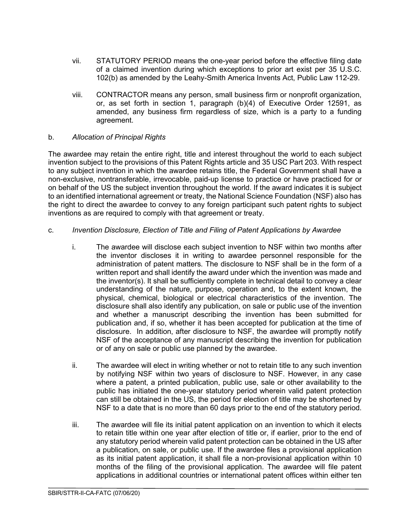- vii. STATUTORY PERIOD means the one-year period before the effective filing date of a claimed invention during which exceptions to prior art exist per 35 U.S.C. 102(b) as amended by the Leahy-Smith America Invents Act, Public Law 112-29.
- viii. CONTRACTOR means any person, small business firm or nonprofit organization, or, as set forth in section 1, paragraph (b)(4) of Executive Order 12591, as amended, any business firm regardless of size, which is a party to a funding agreement.

#### b. *Allocation of Principal Rights*

The awardee may retain the entire right, title and interest throughout the world to each subject invention subject to the provisions of this Patent Rights article and 35 USC Part 203. With respect to any subject invention in which the awardee retains title, the Federal Government shall have a non-exclusive, nontransferable, irrevocable, paid-up license to practice or have practiced for or on behalf of the US the subject invention throughout the world. If the award indicates it is subject to an identified international agreement or treaty, the National Science Foundation (NSF) also has the right to direct the awardee to convey to any foreign participant such patent rights to subject inventions as are required to comply with that agreement or treaty.

#### c. *Invention Disclosure, Election of Title and Filing of Patent Applications by Awardee*

- i. The awardee will disclose each subject invention to NSF within two months after the inventor discloses it in writing to awardee personnel responsible for the administration of patent matters. The disclosure to NSF shall be in the form of a written report and shall identify the award under which the invention was made and the inventor(s). It shall be sufficiently complete in technical detail to convey a clear understanding of the nature, purpose, operation and, to the extent known, the physical, chemical, biological or electrical characteristics of the invention. The disclosure shall also identify any publication, on sale or public use of the invention and whether a manuscript describing the invention has been submitted for publication and, if so, whether it has been accepted for publication at the time of disclosure. In addition, after disclosure to NSF, the awardee will promptly notify NSF of the acceptance of any manuscript describing the invention for publication or of any on sale or public use planned by the awardee.
- ii. The awardee will elect in writing whether or not to retain title to any such invention by notifying NSF within two years of disclosure to NSF. However, in any case where a patent, a printed publication, public use, sale or other availability to the public has initiated the one-year statutory period wherein valid patent protection can still be obtained in the US, the period for election of title may be shortened by NSF to a date that is no more than 60 days prior to the end of the statutory period.
- iii. The awardee will file its initial patent application on an invention to which it elects to retain title within one year after election of title or, if earlier, prior to the end of any statutory period wherein valid patent protection can be obtained in the US after a publication, on sale, or public use. If the awardee files a provisional application as its initial patent application, it shall file a non-provisional application within 10 months of the filing of the provisional application. The awardee will file patent applications in additional countries or international patent offices within either ten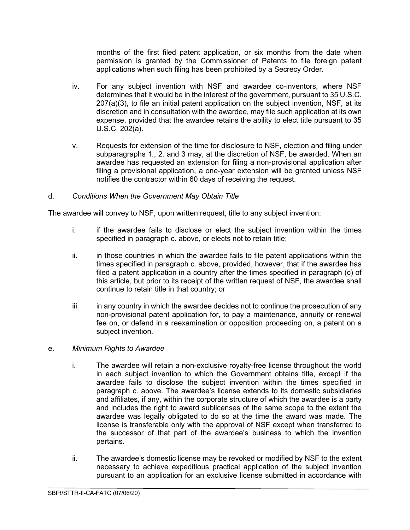months of the first filed patent application, or six months from the date when permission is granted by the Commissioner of Patents to file foreign patent applications when such filing has been prohibited by a Secrecy Order.

- iv. For any subject invention with NSF and awardee co-inventors, where NSF determines that it would be in the interest of the government, pursuant to 35 U.S.C. 207(a)(3), to file an initial patent application on the subject invention, NSF, at its discretion and in consultation with the awardee, may file such application at its own expense, provided that the awardee retains the ability to elect title pursuant to 35 U.S.C. 202(a).
- v. Requests for extension of the time for disclosure to NSF, election and filing under subparagraphs 1., 2. and 3 may, at the discretion of NSF, be awarded. When an awardee has requested an extension for filing a non-provisional application after filing a provisional application, a one-year extension will be granted unless NSF notifies the contractor within 60 days of receiving the request.

## d. *Conditions When the Government May Obtain Title*

The awardee will convey to NSF, upon written request, title to any subject invention:

- i. if the awardee fails to disclose or elect the subject invention within the times specified in paragraph c. above, or elects not to retain title;
- ii. in those countries in which the awardee fails to file patent applications within the times specified in paragraph c. above, provided, however, that if the awardee has filed a patent application in a country after the times specified in paragraph (c) of this article, but prior to its receipt of the written request of NSF, the awardee shall continue to retain title in that country; or
- iii. in any country in which the awardee decides not to continue the prosecution of any non-provisional patent application for, to pay a maintenance, annuity or renewal fee on, or defend in a reexamination or opposition proceeding on, a patent on a subject invention.

#### e. *Minimum Rights to Awardee*

- i. The awardee will retain a non-exclusive royalty-free license throughout the world in each subject invention to which the Government obtains title, except if the awardee fails to disclose the subject invention within the times specified in paragraph c. above. The awardee's license extends to its domestic subsidiaries and affiliates, if any, within the corporate structure of which the awardee is a party and includes the right to award sublicenses of the same scope to the extent the awardee was legally obligated to do so at the time the award was made. The license is transferable only with the approval of NSF except when transferred to the successor of that part of the awardee's business to which the invention pertains.
- ii. The awardee's domestic license may be revoked or modified by NSF to the extent necessary to achieve expeditious practical application of the subject invention pursuant to an application for an exclusive license submitted in accordance with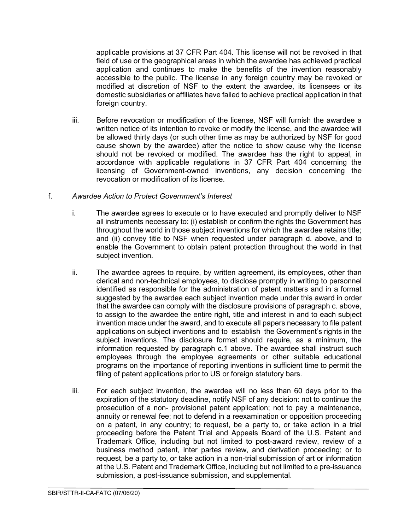applicable provisions at 37 CFR Part 404. This license will not be revoked in that field of use or the geographical areas in which the awardee has achieved practical application and continues to make the benefits of the invention reasonably accessible to the public. The license in any foreign country may be revoked or modified at discretion of NSF to the extent the awardee, its licensees or its domestic subsidiaries or affiliates have failed to achieve practical application in that foreign country.

iii. Before revocation or modification of the license, NSF will furnish the awardee a written notice of its intention to revoke or modify the license, and the awardee will be allowed thirty days (or such other time as may be authorized by NSF for good cause shown by the awardee) after the notice to show cause why the license should not be revoked or modified. The awardee has the right to appeal, in accordance with applicable regulations in 37 CFR Part 404 concerning the licensing of Government-owned inventions, any decision concerning the revocation or modification of its license.

## f. *Awardee Action to Protect Government's Interest*

- i. The awardee agrees to execute or to have executed and promptly deliver to NSF all instruments necessary to: (i) establish or confirm the rights the Government has throughout the world in those subject inventions for which the awardee retains title; and (ii) convey title to NSF when requested under paragraph d. above, and to enable the Government to obtain patent protection throughout the world in that subject invention.
- ii. The awardee agrees to require, by written agreement, its employees, other than clerical and non-technical employees, to disclose promptly in writing to personnel identified as responsible for the administration of patent matters and in a format suggested by the awardee each subject invention made under this award in order that the awardee can comply with the disclosure provisions of paragraph c. above, to assign to the awardee the entire right, title and interest in and to each subject invention made under the award, and to execute all papers necessary to file patent applications on subject inventions and to establish the Government's rights in the subject inventions. The disclosure format should require, as a minimum, the information requested by paragraph c.1 above. The awardee shall instruct such employees through the employee agreements or other suitable educational programs on the importance of reporting inventions in sufficient time to permit the filing of patent applications prior to US or foreign statutory bars.
- iii. For each subject invention, the awardee will no less than 60 days prior to the expiration of the statutory deadline, notify NSF of any decision: not to continue the prosecution of a non- provisional patent application; not to pay a maintenance, annuity or renewal fee; not to defend in a reexamination or opposition proceeding on a patent, in any country; to request, be a party to, or take action in a trial proceeding before the Patent Trial and Appeals Board of the U.S. Patent and Trademark Office, including but not limited to post-award review, review of a business method patent, inter partes review, and derivation proceeding; or to request, be a party to, or take action in a non-trial submission of art or information at the U.S. Patent and Trademark Office, including but not limited to a pre-issuance submission, a post-issuance submission, and supplemental.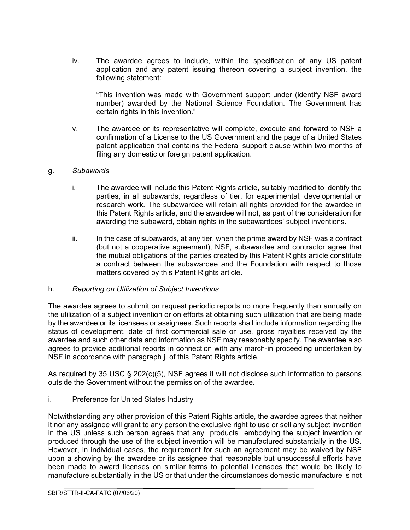iv. The awardee agrees to include, within the specification of any US patent application and any patent issuing thereon covering a subject invention, the following statement:

"This invention was made with Government support under (identify NSF award number) awarded by the National Science Foundation. The Government has certain rights in this invention."

v. The awardee or its representative will complete, execute and forward to NSF a confirmation of a License to the US Government and the page of a United States patent application that contains the Federal support clause within two months of filing any domestic or foreign patent application.

#### g. *Subawards*

- i. The awardee will include this Patent Rights article, suitably modified to identify the parties, in all subawards, regardless of tier, for experimental, developmental or research work. The subawardee will retain all rights provided for the awardee in this Patent Rights article, and the awardee will not, as part of the consideration for awarding the subaward, obtain rights in the subawardees' subject inventions.
- ii. In the case of subawards, at any tier, when the prime award by NSF was a contract (but not a cooperative agreement), NSF, subawardee and contractor agree that the mutual obligations of the parties created by this Patent Rights article constitute a contract between the subawardee and the Foundation with respect to those matters covered by this Patent Rights article.

#### h. *Reporting on Utilization of Subject Inventions*

The awardee agrees to submit on request periodic reports no more frequently than annually on the utilization of a subject invention or on efforts at obtaining such utilization that are being made by the awardee or its licensees or assignees. Such reports shall include information regarding the status of development, date of first commercial sale or use, gross royalties received by the awardee and such other data and information as NSF may reasonably specify. The awardee also agrees to provide additional reports in connection with any march-in proceeding undertaken by NSF in accordance with paragraph j. of this Patent Rights article.

As required by 35 USC § 202(c)(5), NSF agrees it will not disclose such information to persons outside the Government without the permission of the awardee.

#### i. Preference for United States Industry

Notwithstanding any other provision of this Patent Rights article, the awardee agrees that neither it nor any assignee will grant to any person the exclusive right to use or sell any subject invention in the US unless such person agrees that any products embodying the subject invention or produced through the use of the subject invention will be manufactured substantially in the US. However, in individual cases, the requirement for such an agreement may be waived by NSF upon a showing by the awardee or its assignee that reasonable but unsuccessful efforts have been made to award licenses on similar terms to potential licensees that would be likely to manufacture substantially in the US or that under the circumstances domestic manufacture is not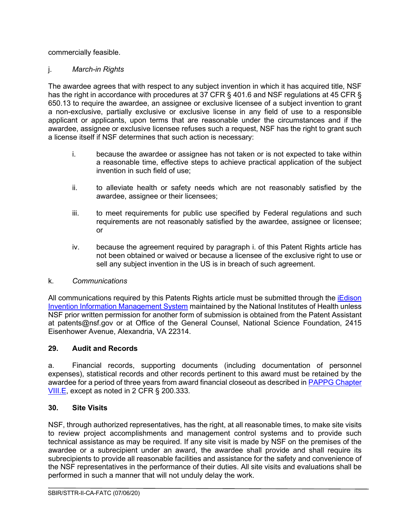commercially feasible.

## j. *March-in Rights*

The awardee agrees that with respect to any subject invention in which it has acquired title, NSF has the right in accordance with procedures at 37 CFR § 401.6 and NSF regulations at 45 CFR § 650.13 to require the awardee, an assignee or exclusive licensee of a subject invention to grant a non-exclusive, partially exclusive or exclusive license in any field of use to a responsible applicant or applicants, upon terms that are reasonable under the circumstances and if the awardee, assignee or exclusive licensee refuses such a request, NSF has the right to grant such a license itself if NSF determines that such action is necessary:

- i. because the awardee or assignee has not taken or is not expected to take within a reasonable time, effective steps to achieve practical application of the subject invention in such field of use;
- ii. to alleviate health or safety needs which are not reasonably satisfied by the awardee, assignee or their licensees;
- iii. to meet requirements for public use specified by Federal regulations and such requirements are not reasonably satisfied by the awardee, assignee or licensee; or
- iv. because the agreement required by paragraph i. of this Patent Rights article has not been obtained or waived or because a licensee of the exclusive right to use or sell any subject invention in the US is in breach of such agreement.

## k. *Communications*

All communications required by this Patents Rights article must be submitted through the [iEdison](https://public.era.nih.gov/iedison/public/login.do?TYPE=33554433&REALMOID=06-dc4d00e8-1464-45e1-937f-0525407c30fd&GUID&SMAUTHREASON=0&METHOD=GET&SMAGENTNAME=-SM-938PYmoLVb4VrDeXo04LZUDVDvc%2b3899ByInEAjuSUvWNIGfB2zRpWiCivYGCogG&TARGET=-SM-http%3a%2f%2fpublic%2eera%2enih%2egov%2fiedison)  [Invention Information Management System](https://public.era.nih.gov/iedison/public/login.do?TYPE=33554433&REALMOID=06-dc4d00e8-1464-45e1-937f-0525407c30fd&GUID&SMAUTHREASON=0&METHOD=GET&SMAGENTNAME=-SM-938PYmoLVb4VrDeXo04LZUDVDvc%2b3899ByInEAjuSUvWNIGfB2zRpWiCivYGCogG&TARGET=-SM-http%3a%2f%2fpublic%2eera%2enih%2egov%2fiedison) maintained by the National Institutes of Health unless NSF prior written permission for another form of submission is obtained from the Patent Assistant at patents@nsf.gov or at Office of the General Counsel, National Science Foundation, 2415 Eisenhower Avenue, Alexandria, VA 22314.

## <span id="page-26-0"></span>**29. Audit and Records**

a. Financial records, supporting documents (including documentation of personnel expenses), statistical records and other records pertinent to this award must be retained by the awardee for a period of three years from award financial closeout as described in [PAPPG Chapter](https://www.nsf.gov/pubs/policydocs/pappg20_1/pappg_8.jsp#VIIIE)  [VIII.E,](https://www.nsf.gov/pubs/policydocs/pappg20_1/pappg_8.jsp#VIIIE) except as noted in 2 CFR § 200.333.

## <span id="page-26-1"></span>**30. Site Visits**

NSF, through authorized representatives, has the right, at all reasonable times, to make site visits to review project accomplishments and management control systems and to provide such technical assistance as may be required. If any site visit is made by NSF on the premises of the awardee or a subrecipient under an award, the awardee shall provide and shall require its subrecipients to provide all reasonable facilities and assistance for the safety and convenience of the NSF representatives in the performance of their duties. All site visits and evaluations shall be performed in such a manner that will not unduly delay the work.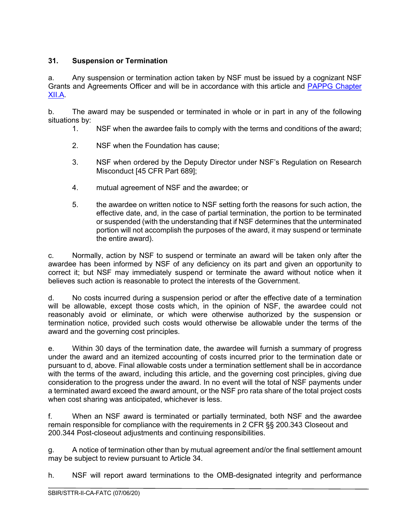# <span id="page-27-0"></span>**31. Suspension or Termination**

a. Any suspension or termination action taken by NSF must be issued by a cognizant NSF Grants and Agreements Officer and will be in accordance with this article and [PAPPG Chapter](https://www.nsf.gov/pubs/policydocs/pappg20_1/pappg_12.jsp#XIIA)  [XII.A.](https://www.nsf.gov/pubs/policydocs/pappg20_1/pappg_12.jsp#XIIA)

b. The award may be suspended or terminated in whole or in part in any of the following situations by:

- 1. NSF when the awardee fails to comply with the terms and conditions of the award;
- 2. NSF when the Foundation has cause;
- 3. NSF when ordered by the Deputy Director under NSF's Regulation on Research Misconduct [45 CFR Part 689];
- 4. mutual agreement of NSF and the awardee; or
- 5. the awardee on written notice to NSF setting forth the reasons for such action, the effective date, and, in the case of partial termination, the portion to be terminated or suspended (with the understanding that if NSF determines that the unterminated portion will not accomplish the purposes of the award, it may suspend or terminate the entire award).

c. Normally, action by NSF to suspend or terminate an award will be taken only after the awardee has been informed by NSF of any deficiency on its part and given an opportunity to correct it; but NSF may immediately suspend or terminate the award without notice when it believes such action is reasonable to protect the interests of the Government.

d. No costs incurred during a suspension period or after the effective date of a termination will be allowable, except those costs which, in the opinion of NSF, the awardee could not reasonably avoid or eliminate, or which were otherwise authorized by the suspension or termination notice, provided such costs would otherwise be allowable under the terms of the award and the governing cost principles.

e. Within 30 days of the termination date, the awardee will furnish a summary of progress under the award and an itemized accounting of costs incurred prior to the termination date or pursuant to d, above. Final allowable costs under a termination settlement shall be in accordance with the terms of the award, including this article, and the governing cost principles, giving due consideration to the progress under the award. In no event will the total of NSF payments under a terminated award exceed the award amount, or the NSF pro rata share of the total project costs when cost sharing was anticipated, whichever is less.

f. When an NSF award is terminated or partially terminated, both NSF and the awardee remain responsible for compliance with the requirements in 2 CFR §§ 200.343 Closeout and 200.344 Post-closeout adjustments and continuing responsibilities.

g. A notice of termination other than by mutual agreement and/or the final settlement amount may be subject to review pursuant to Article 34.

h. NSF will report award terminations to the OMB-designated integrity and performance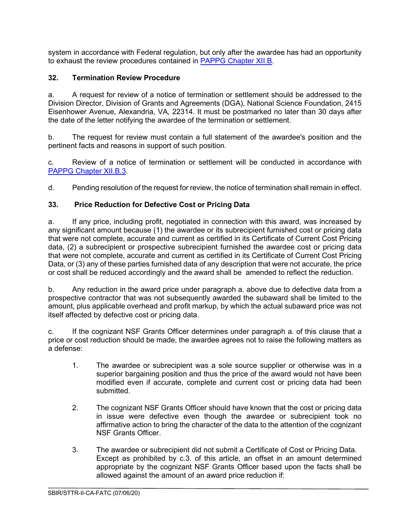system in accordance with Federal regulation, but only after the awardee has had an opportunity to exhaust the review procedures contained in [PAPPG Chapter XII.B.](https://www.nsf.gov/pubs/policydocs/pappg20_1/pappg_12.jsp#XIIB)

# <span id="page-28-0"></span>**32. Termination Review Procedure**

a. A request for review of a notice of termination or settlement should be addressed to the Division Director, Division of Grants and Agreements (DGA), National Science Foundation, 2415 Eisenhower Avenue, Alexandria, VA, 22314. It must be postmarked no later than 30 days after the date of the letter notifying the awardee of the termination or settlement.

b. The request for review must contain a full statement of the awardee's position and the pertinent facts and reasons in support of such position.

c. Review of a notice of termination or settlement will be conducted in accordance with [PAPPG Chapter XII.B.3.](https://www.nsf.gov/pubs/policydocs/pappg20_1/pappg_12.jsp#XIIC3)

d. Pending resolution of the request for review, the notice of termination shall remain in effect.

## <span id="page-28-1"></span>**33. Price Reduction for Defective Cost or Pricing Data**

a. If any price, including profit, negotiated in connection with this award, was increased by any significant amount because (1) the awardee or its subrecipient furnished cost or pricing data that were not complete, accurate and current as certified in its Certificate of Current Cost Pricing data, (2) a subrecipient or prospective subrecipient furnished the awardee cost or pricing data that were not complete, accurate and current as certified in its Certificate of Current Cost Pricing Data, or (3) any of these parties furnished data of any description that were not accurate, the price or cost shall be reduced accordingly and the award shall be amended to reflect the reduction.

b. Any reduction in the award price under paragraph a. above due to defective data from a prospective contractor that was not subsequently awarded the subaward shall be limited to the amount, plus applicable overhead and profit markup, by which the actual subaward price was not itself affected by defective cost or pricing data.

c. If the cognizant NSF Grants Officer determines under paragraph a. of this clause that a price or cost reduction should be made, the awardee agrees not to raise the following matters as a defense:

- 1. The awardee or subrecipient was a sole source supplier or otherwise was in a superior bargaining position and thus the price of the award would not have been modified even if accurate, complete and current cost or pricing data had been submitted.
- 2. The cognizant NSF Grants Officer should have known that the cost or pricing data in issue were defective even though the awardee or subrecipient took no affirmative action to bring the character of the data to the attention of the cognizant NSF Grants Officer.
- 3. The awardee or subrecipient did not submit a Certificate of Cost or Pricing Data. Except as prohibited by c.3. of this article, an offset in an amount determined appropriate by the cognizant NSF Grants Officer based upon the facts shall be allowed against the amount of an award price reduction if: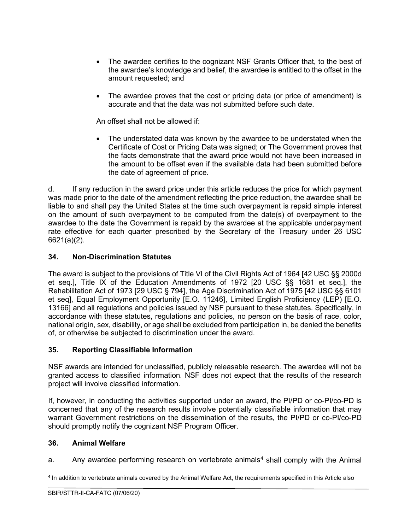- The awardee certifies to the cognizant NSF Grants Officer that, to the best of the awardee's knowledge and belief, the awardee is entitled to the offset in the amount requested; and
- The awardee proves that the cost or pricing data (or price of amendment) is accurate and that the data was not submitted before such date.

An offset shall not be allowed if:

• The understated data was known by the awardee to be understated when the Certificate of Cost or Pricing Data was signed; or The Government proves that the facts demonstrate that the award price would not have been increased in the amount to be offset even if the available data had been submitted before the date of agreement of price.

d. If any reduction in the award price under this article reduces the price for which payment was made prior to the date of the amendment reflecting the price reduction, the awardee shall be liable to and shall pay the United States at the time such overpayment is repaid simple interest on the amount of such overpayment to be computed from the date(s) of overpayment to the awardee to the date the Government is repaid by the awardee at the applicable underpayment rate effective for each quarter prescribed by the Secretary of the Treasury under 26 USC 6621(a)(2).

#### <span id="page-29-0"></span>**34. Non-Discrimination Statutes**

The award is subject to the provisions of Title VI of the Civil Rights Act of 1964 [42 USC §§ 2000d et seq.], Title IX of the Education Amendments of 1972 [20 USC §§ 1681 et seq.], the Rehabilitation Act of 1973 [29 USC § 794], the Age Discrimination Act of 1975 [42 USC §§ 6101 et seq], Equal Employment Opportunity [E.O. 11246], Limited English Proficiency (LEP) [E.O. 13166] and all regulations and policies issued by NSF pursuant to these statutes. Specifically, in accordance with these statutes, regulations and policies, no person on the basis of race, color, national origin, sex, disability, or age shall be excluded from participation in, be denied the benefits of, or otherwise be subjected to discrimination under the award.

#### <span id="page-29-1"></span>**35. Reporting Classifiable Information**

NSF awards are intended for unclassified, publicly releasable research. The awardee will not be granted access to classified information. NSF does not expect that the results of the research project will involve classified information.

If, however, in conducting the activities supported under an award, the PI/PD or co-PI/co-PD is concerned that any of the research results involve potentially classifiable information that may warrant Government restrictions on the dissemination of the results, the PI/PD or co-PI/co-PD should promptly notify the cognizant NSF Program Officer.

#### <span id="page-29-2"></span>**36. Animal Welfare**

a. Any awardee performing research on vertebrate animals<sup>[4](#page-29-3)</sup> shall comply with the Animal

<span id="page-29-3"></span><sup>4</sup> In addition to vertebrate animals covered by the Animal Welfare Act, the requirements specified in this Article also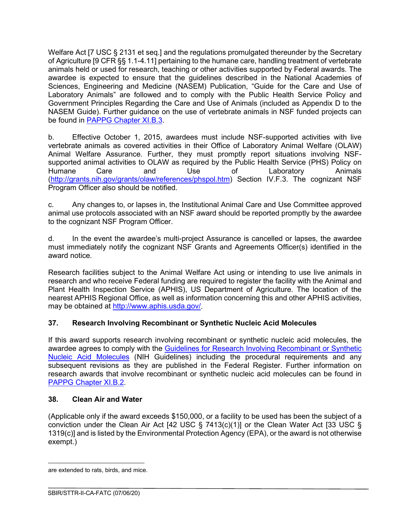Welfare Act I7 USC § 2131 et seq.] and the regulations promulgated thereunder by the Secretary of Agriculture [9 CFR §§ 1.1-4.11] pertaining to the humane care, handling treatment of vertebrate animals held or used for research, teaching or other activities supported by Federal awards. The awardee is expected to ensure that the guidelines described in the National Academies of Sciences, Engineering and Medicine (NASEM) Publication, "Guide for the Care and Use of Laboratory Animals" are followed and to comply with the Public Health Service Policy and Government Principles Regarding the Care and Use of Animals (included as Appendix D to the NASEM Guide). Further guidance on the use of vertebrate animals in NSF funded projects can be found in [PAPPG Chapter XI.B.3.](https://www.nsf.gov/pubs/policydocs/pappg20_1/pappg_11.jsp#XIB3)

b. Effective October 1, 2015, awardees must include NSF-supported activities with live vertebrate animals as covered activities in their Office of Laboratory Animal Welfare (OLAW) Animal Welfare Assurance. Further, they must promptly report situations involving NSFsupported animal activities to OLAW as required by the Public Health Service (PHS) Policy on<br>Humane Care and Use of Laboratory Animals of Laboratory [\(http://grants.nih.gov/grants/olaw/references/phspol.htm\)](http://grants.nih.gov/grants/olaw/references/phspol.htm) Section IV.F.3. The cognizant NSF Program Officer also should be notified.

c. Any changes to, or lapses in, the Institutional Animal Care and Use Committee approved animal use protocols associated with an NSF award should be reported promptly by the awardee to the cognizant NSF Program Officer.

d. In the event the awardee's multi-project Assurance is cancelled or lapses, the awardee must immediately notify the cognizant NSF Grants and Agreements Officer(s) identified in the award notice.

Research facilities subject to the Animal Welfare Act using or intending to use live animals in research and who receive Federal funding are required to register the facility with the Animal and Plant Health Inspection Service (APHIS), US Department of Agriculture. The location of the nearest APHIS Regional Office, as well as information concerning this and other APHIS activities, may be obtained at [http://www.aphis.usda.gov/.](http://www.aphis.usda.gov/)

## <span id="page-30-0"></span>**37. Research Involving Recombinant or Synthetic Nucleic Acid Molecules**

If this award supports research involving recombinant or synthetic nucleic acid molecules, the awardee agrees to comply with the Guidelines for Research Involving Recombinant or Synthetic [Nucleic Acid Molecules](http://osp.od.nih.gov/office-biotechnology-activities/biosafety/nih-guidelines) (NIH Guidelines) including the procedural requirements and any subsequent revisions as they are published in the Federal Register. Further information on research awards that involve recombinant or synthetic nucleic acid molecules can be found in [PAPPG Chapter XI.B.2.](https://www.nsf.gov/pubs/policydocs/pappg20_1/pappg_11.jsp#XIB2)

## <span id="page-30-1"></span>**38. Clean Air and Water**

(Applicable only if the award exceeds \$150,000, or a facility to be used has been the subject of a conviction under the Clean Air Act [42 USC § 7413(c)(1)] or the Clean Water Act [33 USC § 1319(c)] and is listed by the Environmental Protection Agency (EPA), or the award is not otherwise exempt.)

are extended to rats, birds, and mice.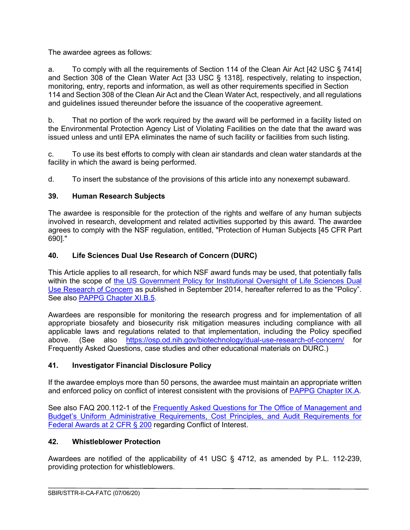The awardee agrees as follows:

a. To comply with all the requirements of Section 114 of the Clean Air Act [42 USC § 7414] and Section 308 of the Clean Water Act [33 USC § 1318], respectively, relating to inspection, monitoring, entry, reports and information, as well as other requirements specified in Section 114 and Section 308 of the Clean Air Act and the Clean Water Act, respectively, and all regulations and guidelines issued thereunder before the issuance of the cooperative agreement.

b. That no portion of the work required by the award will be performed in a facility listed on the Environmental Protection Agency List of Violating Facilities on the date that the award was issued unless and until EPA eliminates the name of such facility or facilities from such listing.

c. To use its best efforts to comply with clean air standards and clean water standards at the facility in which the award is being performed.

d. To insert the substance of the provisions of this article into any nonexempt subaward.

## <span id="page-31-0"></span>**39. Human Research Subjects**

The awardee is responsible for the protection of the rights and welfare of any human subjects involved in research, development and related activities supported by this award. The awardee agrees to comply with the NSF regulation, entitled, "Protection of Human Subjects [45 CFR Part 690]."

## <span id="page-31-1"></span>**40. Life Sciences Dual Use Research of Concern (DURC)**

This Article applies to all research, for which NSF award funds may be used, that potentially falls within the scope of the US Government Policy for Institutional Oversight of Life Sciences Dual [Use Research of Concern](http://www.phe.gov/s3/dualuse/Pages/default.aspx) as published in September 2014, hereafter referred to as the "Policy". See also [PAPPG Chapter XI.B.5.](https://www.nsf.gov/pubs/policydocs/pappg20_1/pappg_11.jsp#XIB5)

Awardees are responsible for monitoring the research progress and for implementation of all appropriate biosafety and biosecurity risk mitigation measures including compliance with all applicable laws and regulations related to that implementation, including the Policy specified above. (See also <https://osp.od.nih.gov/biotechnology/dual-use-research-of-concern/> for Frequently Asked Questions, case studies and other educational materials on DURC.)

## <span id="page-31-2"></span>**41. Investigator Financial Disclosure Policy**

If the awardee employs more than 50 persons, the awardee must maintain an appropriate written and enforced policy on conflict of interest consistent with the provisions of [PAPPG Chapter IX.A.](https://www.nsf.gov/pubs/policydocs/pappg20_1/pappg_9.jsp#IXA)

See also FAQ 200.112-1 of the [Frequently Asked Questions for The Office of Management and](https://cfo.gov/wp-content/uploads/2017/08/July2017-UniformGuidanceFrequentlyAskedQuestions.pdf)  [Budget's Uniform Administrative Requirements, Cost Principles, and Audit Requirements for](https://cfo.gov/wp-content/uploads/2017/08/July2017-UniformGuidanceFrequentlyAskedQuestions.pdf)  [Federal Awards at 2 CFR § 200](https://cfo.gov/wp-content/uploads/2017/08/July2017-UniformGuidanceFrequentlyAskedQuestions.pdf) regarding Conflict of Interest.

# <span id="page-31-3"></span>**42. Whistleblower Protection**

Awardees are notified of the applicability of 41 USC § 4712, as amended by P.L. 112-239, providing protection for whistleblowers.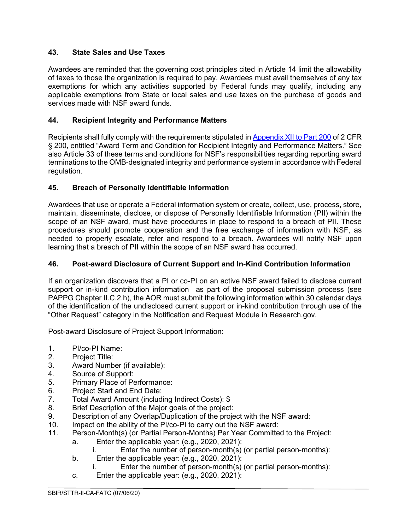## <span id="page-32-0"></span>**43. State Sales and Use Taxes**

Awardees are reminded that the governing cost principles cited in Article 14 limit the allowability of taxes to those the organization is required to pay. Awardees must avail themselves of any tax exemptions for which any activities supported by Federal funds may qualify, including any applicable exemptions from State or local sales and use taxes on the purchase of goods and services made with NSF award funds.

## <span id="page-32-1"></span>**44. Recipient Integrity and Performance Matters**

Recipients shall fully comply with the requirements stipulated in [Appendix XII to Part 200](https://www.ecfr.gov/cgi-bin/text-idx?SID=704835d27377ef5213a51c149de40cab&node=2%3A1.1.2.2.1&rgn=div5) of 2 CFR § 200, entitled "Award Term and Condition for Recipient Integrity and Performance Matters." See also Article 33 of these terms and conditions for NSF's responsibilities regarding reporting award terminations to the OMB-designated integrity and performance system in accordance with Federal regulation.

## <span id="page-32-2"></span>**45. Breach of Personally Identifiable Information**

Awardees that use or operate a Federal information system or create, collect, use, process, store, maintain, disseminate, disclose, or dispose of Personally Identifiable Information (PII) within the scope of an NSF award, must have procedures in place to respond to a breach of PII. These procedures should promote cooperation and the free exchange of information with NSF, as needed to properly escalate, refer and respond to a breach. Awardees will notify NSF upon learning that a breach of PII within the scope of an NSF award has occurred.

# <span id="page-32-3"></span>**46. Post-award Disclosure of Current Support and In-Kind Contribution Information**

If an organization discovers that a PI or co-PI on an active NSF award failed to disclose current support or in-kind contribution information as part of the proposal submission process (see PAPPG Chapter II.C.2.h), the AOR must submit the following information within 30 calendar days of the identification of the undisclosed current support or in-kind contribution through use of the "Other Request" category in the Notification and Request Module in Research.gov.

Post-award Disclosure of Project Support Information:

- 1. PI/co-PI Name:<br>2. Project Title:
- Project Title:
- 3. Award Number (if available):
- 4. Source of Support:
- 5. Primary Place of Performance:
- 6. Project Start and End Date:<br>7. Total Award Amount (includi
- 7. Total Award Amount (including Indirect Costs): \$<br>8. Brief Description of the Maior goals of the project
- Brief Description of the Major goals of the project:
- 9. Description of any Overlap/Duplication of the project with the NSF award:
- 10. Impact on the ability of the PI/co-PI to carry out the NSF award:
- 11. Person-Month(s) (or Partial Person-Months) Per Year Committed to the Project:
	- a. Enter the applicable year: (e.g., 2020, 2021):
		- i. Enter the number of person-month(s) (or partial person-months):
	- b. Enter the applicable year: (e.g., 2020, 2021):
		- i. Enter the number of person-month(s) (or partial person-months):
	- c. Enter the applicable year: (e.g., 2020, 2021):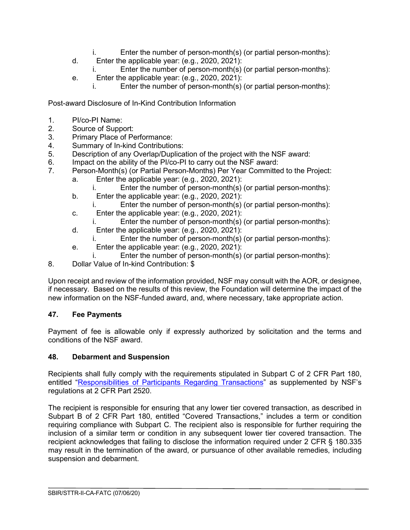- i. Enter the number of person-month(s) (or partial person-months):
- d. Enter the applicable year: (e.g., 2020, 2021):
	- i. Enter the number of person-month(s) (or partial person-months):
- e. Enter the applicable year: (e.g., 2020, 2021):
	- i. Enter the number of person-month(s) (or partial person-months):

Post-award Disclosure of In-Kind Contribution Information

- 1. PI/co-PI Name:
- 2. Source of Support:<br>3. Primary Place of Pe
- 3. Primary Place of Performance:<br>4. Summary of In-kind Contribution
- Summary of In-kind Contributions:
- 5. Description of any Overlap/Duplication of the project with the NSF award:<br>6. Impact on the ability of the PI/co-PI to carry out the NSF award:
- 6. Impact on the ability of the PI/co-PI to carry out the NSF award:<br>7. Person-Month(s) (or Partial Person-Months) Per Year Committe
- Person-Month(s) (or Partial Person-Months) Per Year Committed to the Project:
	- a. Enter the applicable year: (e.g., 2020, 2021):
		- i. Enter the number of person-month(s) (or partial person-months):
	- b. Enter the applicable year: (e.g., 2020, 2021): i. Enter the number of person-month(s) (or partial person-months):
	- c. Enter the applicable year: (e.g., 2020, 2021):
		- i. Enter the number of person-month(s) (or partial person-months):
	- d. Enter the applicable year: (e.g., 2020, 2021):
		- i. Enter the number of person-month(s) (or partial person-months):
	- e. Enter the applicable year: (e.g., 2020, 2021):
		- i. Enter the number of person-month(s) (or partial person-months):
- 8. Dollar Value of In-kind Contribution: \$

Upon receipt and review of the information provided, NSF may consult with the AOR, or designee, if necessary. Based on the results of this review, the Foundation will determine the impact of the new information on the NSF-funded award, and, where necessary, take appropriate action.

## <span id="page-33-0"></span>**47. Fee Payments**

Payment of fee is allowable only if expressly authorized by solicitation and the terms and conditions of the NSF award.

## <span id="page-33-1"></span>**48. Debarment and Suspension**

Recipients shall fully comply with the requirements stipulated in Subpart C of 2 CFR Part 180, entitled ["Responsibilities of Participants Regarding Transactions"](https://www.govinfo.gov/content/pkg/CFR-2011-title2-vol1/pdf/CFR-2011-title2-vol1-part2520.pdf) as supplemented by NSF's regulations at 2 CFR Part 2520.

<span id="page-33-2"></span>The recipient is responsible for ensuring that any lower tier covered transaction, as described in Subpart B of 2 CFR Part 180, entitled "Covered Transactions," includes a term or condition requiring compliance with Subpart C. The recipient also is responsible for further requiring the inclusion of a similar term or condition in any subsequent lower tier covered transaction. The recipient acknowledges that failing to disclose the information required under 2 CFR § 180.335 may result in the termination of the award, or pursuance of other available remedies, including suspension and debarment.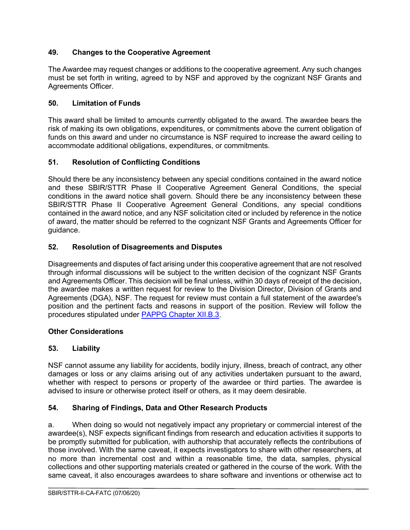## **49. Changes to the Cooperative Agreement**

The Awardee may request changes or additions to the cooperative agreement. Any such changes must be set forth in writing, agreed to by NSF and approved by the cognizant NSF Grants and Agreements Officer.

## <span id="page-34-0"></span>**50. Limitation of Funds**

This award shall be limited to amounts currently obligated to the award. The awardee bears the risk of making its own obligations, expenditures, or commitments above the current obligation of funds on this award and under no circumstance is NSF required to increase the award ceiling to accommodate additional obligations, expenditures, or commitments.

## <span id="page-34-1"></span>**51. Resolution of Conflicting Conditions**

Should there be any inconsistency between any special conditions contained in the award notice and these SBIR/STTR Phase II Cooperative Agreement General Conditions, the special conditions in the award notice shall govern. Should there be any inconsistency between these SBIR/STTR Phase II Cooperative Agreement General Conditions, any special conditions contained in the award notice, and any NSF solicitation cited or included by reference in the notice of award, the matter should be referred to the cognizant NSF Grants and Agreements Officer for guidance.

## <span id="page-34-2"></span>**52. Resolution of Disagreements and Disputes**

Disagreements and disputes of fact arising under this cooperative agreement that are not resolved through informal discussions will be subject to the written decision of the cognizant NSF Grants and Agreements Officer. This decision will be final unless, within 30 days of receipt of the decision, the awardee makes a written request for review to the Division Director, Division of Grants and Agreements (DGA), NSF. The request for review must contain a full statement of the awardee's position and the pertinent facts and reasons in support of the position. Review will follow the procedures stipulated under [PAPPG Chapter XII.B.3.](file://ad.nsf.gov/NSF/Users/wiphan/1-WILLIS/Program%20Work/IIP/New%20Coop%20Agreement/T&C%2020.1%20Version%20-%20New%20Article/PAPPG%20Chapter%20XII.%20B.3)

## **Other Considerations**

## <span id="page-34-3"></span>**53. Liability**

NSF cannot assume any liability for accidents, bodily injury, illness, breach of contract, any other damages or loss or any claims arising out of any activities undertaken pursuant to the award, whether with respect to persons or property of the awardee or third parties. The awardee is advised to insure or otherwise protect itself or others, as it may deem desirable.

## <span id="page-34-4"></span>**54. Sharing of Findings, Data and Other Research Products**

a. When doing so would not negatively impact any proprietary or commercial interest of the awardee(s), NSF expects significant findings from research and education activities it supports to be promptly submitted for publication, with authorship that accurately reflects the contributions of those involved. With the same caveat, it expects investigators to share with other researchers, at no more than incremental cost and within a reasonable time, the data, samples, physical collections and other supporting materials created or gathered in the course of the work. With the same caveat, it also encourages awardees to share software and inventions or otherwise act to